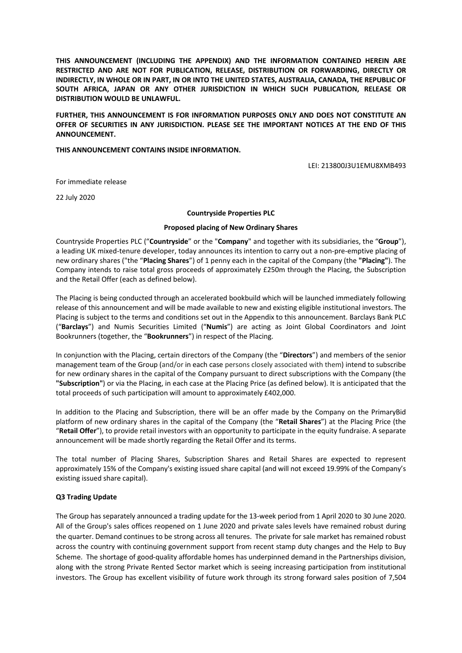**THIS ANNOUNCEMENT (INCLUDING THE APPENDIX) AND THE INFORMATION CONTAINED HEREIN ARE RESTRICTED AND ARE NOT FOR PUBLICATION, RELEASE, DISTRIBUTION OR FORWARDING, DIRECTLY OR INDIRECTLY, IN WHOLE OR IN PART, IN OR INTO THE UNITED STATES, AUSTRALIA, CANADA, THE REPUBLIC OF SOUTH AFRICA, JAPAN OR ANY OTHER JURISDICTION IN WHICH SUCH PUBLICATION, RELEASE OR DISTRIBUTION WOULD BE UNLAWFUL.**

**FURTHER, THIS ANNOUNCEMENT IS FOR INFORMATION PURPOSES ONLY AND DOES NOT CONSTITUTE AN OFFER OF SECURITIES IN ANY JURISDICTION. PLEASE SEE THE IMPORTANT NOTICES AT THE END OF THIS ANNOUNCEMENT.**

**THIS ANNOUNCEMENT CONTAINS INSIDE INFORMATION.**

LEI: 213800J3U1EMU8XMB493

For immediate release

22 July 2020

#### **Countryside Properties PLC**

#### **Proposed placing of New Ordinary Shares**

Countryside Properties PLC ("**Countryside**" or the "**Company**" and together with its subsidiaries, the "**Group**"), a leading UK mixed-tenure developer, today announces its intention to carry out a non-pre-emptive placing of new ordinary shares ("the "**Placing Shares**") of 1 penny each in the capital of the Company (the **"Placing"**). The Company intends to raise total gross proceeds of approximately £250m through the Placing, the Subscription and the Retail Offer (each as defined below).

The Placing is being conducted through an accelerated bookbuild which will be launched immediately following release of this announcement and will be made available to new and existing eligible institutional investors. The Placing is subject to the terms and conditions set out in the Appendix to this announcement. Barclays Bank PLC ("**Barclays**") and Numis Securities Limited ("**Numis**") are acting as Joint Global Coordinators and Joint Bookrunners (together, the "**Bookrunners**") in respect of the Placing.

In conjunction with the Placing, certain directors of the Company (the "**Directors**") and members of the senior management team of the Group (and/or in each case persons closely associated with them) intend to subscribe for new ordinary shares in the capital of the Company pursuant to direct subscriptions with the Company (the **"Subscription"**) or via the Placing, in each case at the Placing Price (as defined below). It is anticipated that the total proceeds of such participation will amount to approximately £402,000.

In addition to the Placing and Subscription, there will be an offer made by the Company on the PrimaryBid platform of new ordinary shares in the capital of the Company (the "**Retail Shares**") at the Placing Price (the "**Retail Offer**"), to provide retail investors with an opportunity to participate in the equity fundraise. A separate announcement will be made shortly regarding the Retail Offer and its terms.

The total number of Placing Shares, Subscription Shares and Retail Shares are expected to represent approximately 15% of the Company's existing issued share capital (and will not exceed 19.99% of the Company's existing issued share capital).

#### **Q3 Trading Update**

The Group has separately announced a trading update for the 13-week period from 1 April 2020 to 30 June 2020. All of the Group's sales offices reopened on 1 June 2020 and private sales levels have remained robust during the quarter. Demand continues to be strong across all tenures. The private for sale market has remained robust across the country with continuing government support from recent stamp duty changes and the Help to Buy Scheme. The shortage of good-quality affordable homes has underpinned demand in the Partnerships division, along with the strong Private Rented Sector market which is seeing increasing participation from institutional investors. The Group has excellent visibility of future work through its strong forward sales position of 7,504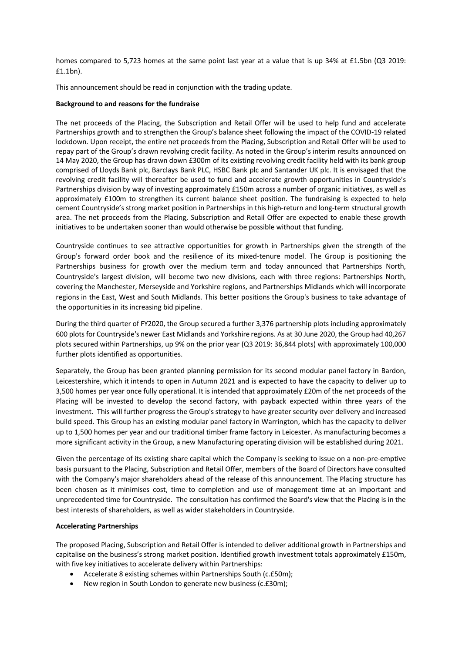homes compared to 5,723 homes at the same point last year at a value that is up 34% at £1.5bn (Q3 2019: £1.1bn).

This announcement should be read in conjunction with the trading update.

### **Background to and reasons for the fundraise**

The net proceeds of the Placing, the Subscription and Retail Offer will be used to help fund and accelerate Partnerships growth and to strengthen the Group's balance sheet following the impact of the COVID-19 related lockdown. Upon receipt, the entire net proceeds from the Placing, Subscription and Retail Offer will be used to repay part of the Group's drawn revolving credit facility. As noted in the Group's interim results announced on 14 May 2020, the Group has drawn down £300m of its existing revolving credit facility held with its bank group comprised of Lloyds Bank plc, Barclays Bank PLC, HSBC Bank plc and Santander UK plc. It is envisaged that the revolving credit facility will thereafter be used to fund and accelerate growth opportunities in Countryside's Partnerships division by way of investing approximately £150m across a number of organic initiatives, as well as approximately £100m to strengthen its current balance sheet position. The fundraising is expected to help cement Countryside's strong market position in Partnerships in this high-return and long-term structural growth area. The net proceeds from the Placing, Subscription and Retail Offer are expected to enable these growth initiatives to be undertaken sooner than would otherwise be possible without that funding.

Countryside continues to see attractive opportunities for growth in Partnerships given the strength of the Group's forward order book and the resilience of its mixed-tenure model. The Group is positioning the Partnerships business for growth over the medium term and today announced that Partnerships North, Countryside's largest division, will become two new divisions, each with three regions: Partnerships North, covering the Manchester, Merseyside and Yorkshire regions, and Partnerships Midlands which will incorporate regions in the East, West and South Midlands. This better positions the Group's business to take advantage of the opportunities in its increasing bid pipeline.

During the third quarter of FY2020, the Group secured a further 3,376 partnership plots including approximately 600 plots for Countryside's newer East Midlands and Yorkshire regions. As at 30 June 2020, the Group had 40,267 plots secured within Partnerships, up 9% on the prior year (Q3 2019: 36,844 plots) with approximately 100,000 further plots identified as opportunities.

Separately, the Group has been granted planning permission for its second modular panel factory in Bardon, Leicestershire, which it intends to open in Autumn 2021 and is expected to have the capacity to deliver up to 3,500 homes per year once fully operational. It is intended that approximately £20m of the net proceeds of the Placing will be invested to develop the second factory, with payback expected within three years of the investment. This will further progress the Group's strategy to have greater security over delivery and increased build speed. This Group has an existing modular panel factory in Warrington, which has the capacity to deliver up to 1,500 homes per year and our traditional timber frame factory in Leicester. As manufacturing becomes a more significant activity in the Group, a new Manufacturing operating division will be established during 2021.

Given the percentage of its existing share capital which the Company is seeking to issue on a non-pre-emptive basis pursuant to the Placing, Subscription and Retail Offer, members of the Board of Directors have consulted with the Company's major shareholders ahead of the release of this announcement. The Placing structure has been chosen as it minimises cost, time to completion and use of management time at an important and unprecedented time for Countryside. The consultation has confirmed the Board's view that the Placing is in the best interests of shareholders, as well as wider stakeholders in Countryside.

## **Accelerating Partnerships**

The proposed Placing, Subscription and Retail Offer is intended to deliver additional growth in Partnerships and capitalise on the business's strong market position. Identified growth investment totals approximately £150m, with five key initiatives to accelerate delivery within Partnerships:

- Accelerate 8 existing schemes within Partnerships South (c.£50m);
- New region in South London to generate new business (c.£30m);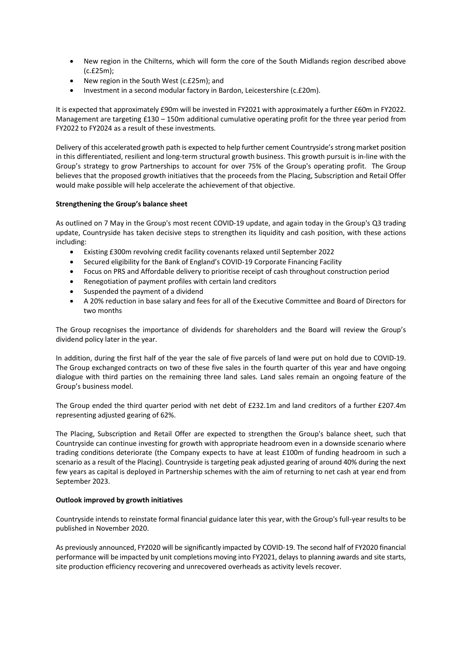- New region in the Chilterns, which will form the core of the South Midlands region described above (c.£25m);
- New region in the South West (c.£25m); and
- Investment in a second modular factory in Bardon, Leicestershire (c.£20m).

It is expected that approximately £90m will be invested in FY2021 with approximately a further £60m in FY2022. Management are targeting £130 – 150m additional cumulative operating profit for the three year period from FY2022 to FY2024 as a result of these investments.

Delivery of this accelerated growth path is expected to help further cement Countryside's strong market position in this differentiated, resilient and long-term structural growth business. This growth pursuit is in-line with the Group's strategy to grow Partnerships to account for over 75% of the Group's operating profit. The Group believes that the proposed growth initiatives that the proceeds from the Placing, Subscription and Retail Offer would make possible will help accelerate the achievement of that objective.

## **Strengthening the Group's balance sheet**

As outlined on 7 May in the Group's most recent COVID-19 update, and again today in the Group's Q3 trading update, Countryside has taken decisive steps to strengthen its liquidity and cash position, with these actions including:

- Existing £300m revolving credit facility covenants relaxed until September 2022
- Secured eligibility for the Bank of England's COVID-19 Corporate Financing Facility
- Focus on PRS and Affordable delivery to prioritise receipt of cash throughout construction period
- Renegotiation of payment profiles with certain land creditors
- Suspended the payment of a dividend
- A 20% reduction in base salary and fees for all of the Executive Committee and Board of Directors for two months

The Group recognises the importance of dividends for shareholders and the Board will review the Group's dividend policy later in the year.

In addition, during the first half of the year the sale of five parcels of land were put on hold due to COVID-19. The Group exchanged contracts on two of these five sales in the fourth quarter of this year and have ongoing dialogue with third parties on the remaining three land sales. Land sales remain an ongoing feature of the Group's business model.

The Group ended the third quarter period with net debt of £232.1m and land creditors of a further £207.4m representing adjusted gearing of 62%.

The Placing, Subscription and Retail Offer are expected to strengthen the Group's balance sheet, such that Countryside can continue investing for growth with appropriate headroom even in a downside scenario where trading conditions deteriorate (the Company expects to have at least £100m of funding headroom in such a scenario as a result of the Placing). Countryside is targeting peak adjusted gearing of around 40% during the next few years as capital is deployed in Partnership schemes with the aim of returning to net cash at year end from September 2023.

## **Outlook improved by growth initiatives**

Countryside intends to reinstate formal financial guidance later this year, with the Group's full-year results to be published in November 2020.

As previously announced, FY2020 will be significantly impacted by COVID-19. The second half of FY2020 financial performance will be impacted by unit completions moving into FY2021, delays to planning awards and site starts, site production efficiency recovering and unrecovered overheads as activity levels recover.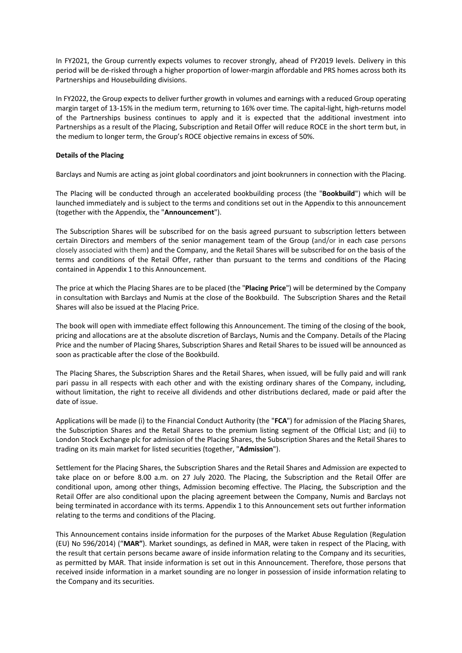In FY2021, the Group currently expects volumes to recover strongly, ahead of FY2019 levels. Delivery in this period will be de-risked through a higher proportion of lower-margin affordable and PRS homes across both its Partnerships and Housebuilding divisions.

In FY2022, the Group expects to deliver further growth in volumes and earnings with a reduced Group operating margin target of 13-15% in the medium term, returning to 16% over time. The capital-light, high-returns model of the Partnerships business continues to apply and it is expected that the additional investment into Partnerships as a result of the Placing, Subscription and Retail Offer will reduce ROCE in the short term but, in the medium to longer term, the Group's ROCE objective remains in excess of 50%.

### **Details of the Placing**

Barclays and Numis are acting as joint global coordinators and joint bookrunners in connection with the Placing.

The Placing will be conducted through an accelerated bookbuilding process (the "**Bookbuild**") which will be launched immediately and is subject to the terms and conditions set out in the Appendix to this announcement (together with the Appendix, the "**Announcement**").

The Subscription Shares will be subscribed for on the basis agreed pursuant to subscription letters between certain Directors and members of the senior management team of the Group (and/or in each case persons closely associated with them) and the Company, and the Retail Shares will be subscribed for on the basis of the terms and conditions of the Retail Offer, rather than pursuant to the terms and conditions of the Placing contained in Appendix 1 to this Announcement.

The price at which the Placing Shares are to be placed (the "**Placing Price**") will be determined by the Company in consultation with Barclays and Numis at the close of the Bookbuild. The Subscription Shares and the Retail Shares will also be issued at the Placing Price.

The book will open with immediate effect following this Announcement. The timing of the closing of the book, pricing and allocations are at the absolute discretion of Barclays, Numis and the Company. Details of the Placing Price and the number of Placing Shares, Subscription Shares and Retail Shares to be issued will be announced as soon as practicable after the close of the Bookbuild.

The Placing Shares, the Subscription Shares and the Retail Shares, when issued, will be fully paid and will rank pari passu in all respects with each other and with the existing ordinary shares of the Company, including, without limitation, the right to receive all dividends and other distributions declared, made or paid after the date of issue.

Applications will be made (i) to the Financial Conduct Authority (the "**FCA**") for admission of the Placing Shares, the Subscription Shares and the Retail Shares to the premium listing segment of the Official List; and (ii) to London Stock Exchange plc for admission of the Placing Shares, the Subscription Shares and the Retail Shares to trading on its main market for listed securities (together, "**Admission**").

Settlement for the Placing Shares, the Subscription Shares and the Retail Shares and Admission are expected to take place on or before 8.00 a.m. on 27 July 2020. The Placing, the Subscription and the Retail Offer are conditional upon, among other things, Admission becoming effective. The Placing, the Subscription and the Retail Offer are also conditional upon the placing agreement between the Company, Numis and Barclays not being terminated in accordance with its terms. Appendix 1 to this Announcement sets out further information relating to the terms and conditions of the Placing.

This Announcement contains inside information for the purposes of the Market Abuse Regulation (Regulation (EU) No 596/2014) ("**MAR"**). Market soundings, as defined in MAR, were taken in respect of the Placing, with the result that certain persons became aware of inside information relating to the Company and its securities, as permitted by MAR. That inside information is set out in this Announcement. Therefore, those persons that received inside information in a market sounding are no longer in possession of inside information relating to the Company and its securities.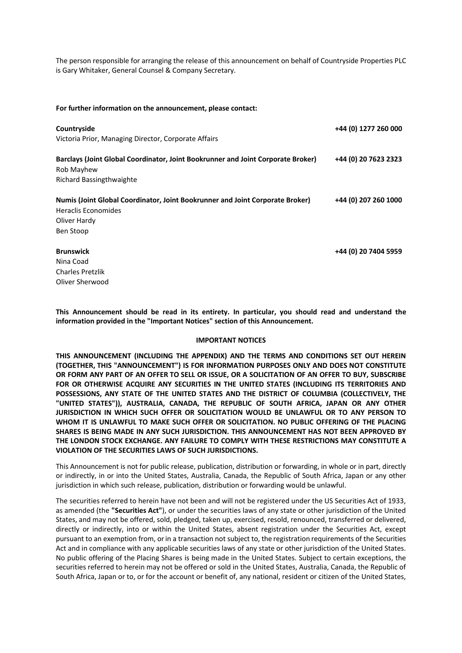The person responsible for arranging the release of this announcement on behalf of Countryside Properties PLC is Gary Whitaker, General Counsel & Company Secretary.

| For further information on the announcement, please contact:                                                                      |                      |
|-----------------------------------------------------------------------------------------------------------------------------------|----------------------|
| Countryside<br>Victoria Prior, Managing Director, Corporate Affairs                                                               | +44 (0) 1277 260 000 |
| Barclays (Joint Global Coordinator, Joint Bookrunner and Joint Corporate Broker)<br>Rob Mayhew<br>Richard Bassingthwaighte        | +44 (0) 20 7623 2323 |
| Numis (Joint Global Coordinator, Joint Bookrunner and Joint Corporate Broker)<br>Heraclis Economides<br>Oliver Hardy<br>Ben Stoop | +44 (0) 207 260 1000 |
| <b>Brunswick</b><br>Nina Coad<br><b>Charles Pretzlik</b><br>Oliver Sherwood                                                       | +44 (0) 20 7404 5959 |

**This Announcement should be read in its entirety. In particular, you should read and understand the information provided in the "Important Notices" section of this Announcement.**

#### **IMPORTANT NOTICES**

**THIS ANNOUNCEMENT (INCLUDING THE APPENDIX) AND THE TERMS AND CONDITIONS SET OUT HEREIN (TOGETHER, THIS "ANNOUNCEMENT") IS FOR INFORMATION PURPOSES ONLY AND DOES NOT CONSTITUTE OR FORM ANY PART OF AN OFFER TO SELL OR ISSUE, OR A SOLICITATION OF AN OFFER TO BUY, SUBSCRIBE FOR OR OTHERWISE ACQUIRE ANY SECURITIES IN THE UNITED STATES (INCLUDING ITS TERRITORIES AND POSSESSIONS, ANY STATE OF THE UNITED STATES AND THE DISTRICT OF COLUMBIA (COLLECTIVELY, THE "UNITED STATES")), AUSTRALIA, CANADA, THE REPUBLIC OF SOUTH AFRICA, JAPAN OR ANY OTHER JURISDICTION IN WHICH SUCH OFFER OR SOLICITATION WOULD BE UNLAWFUL OR TO ANY PERSON TO WHOM IT IS UNLAWFUL TO MAKE SUCH OFFER OR SOLICITATION. NO PUBLIC OFFERING OF THE PLACING SHARES IS BEING MADE IN ANY SUCH JURISDICTION. THIS ANNOUNCEMENT HAS NOT BEEN APPROVED BY THE LONDON STOCK EXCHANGE. ANY FAILURE TO COMPLY WITH THESE RESTRICTIONS MAY CONSTITUTE A VIOLATION OF THE SECURITIES LAWS OF SUCH JURISDICTIONS.**

This Announcement is not for public release, publication, distribution or forwarding, in whole or in part, directly or indirectly, in or into the United States, Australia, Canada, the Republic of South Africa, Japan or any other jurisdiction in which such release, publication, distribution or forwarding would be unlawful.

The securities referred to herein have not been and will not be registered under the US Securities Act of 1933, as amended (the **"Securities Act"**), or under the securities laws of any state or other jurisdiction of the United States, and may not be offered, sold, pledged, taken up, exercised, resold, renounced, transferred or delivered, directly or indirectly, into or within the United States, absent registration under the Securities Act, except pursuant to an exemption from, or in a transaction not subject to, the registration requirements of the Securities Act and in compliance with any applicable securities laws of any state or other jurisdiction of the United States. No public offering of the Placing Shares is being made in the United States. Subject to certain exceptions, the securities referred to herein may not be offered or sold in the United States, Australia, Canada, the Republic of South Africa, Japan or to, or for the account or benefit of, any national, resident or citizen of the United States,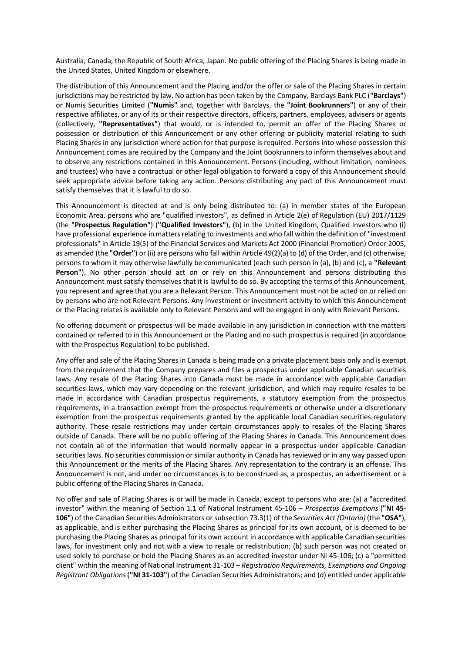Australia, Canada, the Republic of South Africa, Japan. No public offering of the Placing Shares is being made in the United States, United Kingdom or elsewhere.

The distribution of this Announcement and the Placing and/or the offer or sale of the Placing Shares in certain jurisdictions may be restricted by law. No action has been taken by the Company, Barclays Bank PLC (**"Barclays"**) or Numis Securities Limited (**"Numis"** and, together with Barclays, the **"Joint Bookrunners"**) or any of their respective affiliates, or any of its or their respective directors, officers, partners, employees, advisers or agents (collectively, **"Representatives"**) that would, or is intended to, permit an offer of the Placing Shares or possession or distribution of this Announcement or any other offering or publicity material relating to such Placing Shares in any jurisdiction where action for that purpose is required. Persons into whose possession this Announcement comes are required by the Company and the Joint Bookrunners to inform themselves about and to observe any restrictions contained in this Announcement. Persons (including, without limitation, nominees and trustees) who have a contractual or other legal obligation to forward a copy of this Announcement should seek appropriate advice before taking any action. Persons distributing any part of this Announcement must satisfy themselves that it is lawful to do so.

This Announcement is directed at and is only being distributed to: (a) in member states of the European Economic Area, persons who are "qualified investors", as defined in Article 2(e) of Regulation (EU) 2017/1129 (the **"Prospectus Regulation"**) (**"Qualified Investors"**), (b) in the United Kingdom, Qualified Investors who (i) have professional experience in matters relating to investments and who fall within the definition of "investment professionals" in Article 19(5) of the Financial Services and Markets Act 2000 (Financial Promotion) Order 2005, as amended (the **"Order"**) or (ii) are persons who fall within Article 49(2)(a) to (d) of the Order, and (c) otherwise, persons to whom it may otherwise lawfully be communicated (each such person in (a), (b) and (c), a **"Relevant Person"**). No other person should act on or rely on this Announcement and persons distributing this Announcement must satisfy themselves that it is lawful to do so. By accepting the terms of this Announcement, you represent and agree that you are a Relevant Person. This Announcement must not be acted on or relied on by persons who are not Relevant Persons. Any investment or investment activity to which this Announcement or the Placing relates is available only to Relevant Persons and will be engaged in only with Relevant Persons.

No offering document or prospectus will be made available in any jurisdiction in connection with the matters contained or referred to in this Announcement or the Placing and no such prospectus is required (in accordance with the Prospectus Regulation) to be published.

Any offer and sale of the Placing Shares in Canada is being made on a private placement basis only and is exempt from the requirement that the Company prepares and files a prospectus under applicable Canadian securities laws. Any resale of the Placing Shares into Canada must be made in accordance with applicable Canadian securities laws, which may vary depending on the relevant jurisdiction, and which may require resales to be made in accordance with Canadian prospectus requirements, a statutory exemption from the prospectus requirements, in a transaction exempt from the prospectus requirements or otherwise under a discretionary exemption from the prospectus requirements granted by the applicable local Canadian securities regulatory authority. These resale restrictions may under certain circumstances apply to resales of the Placing Shares outside of Canada. There will be no public offering of the Placing Shares in Canada. This Announcement does not contain all of the information that would normally appear in a prospectus under applicable Canadian securities laws. No securities commission or similar authority in Canada has reviewed or in any way passed upon this Announcement or the merits of the Placing Shares. Any representation to the contrary is an offense. This Announcement is not, and under no circumstances is to be construed as, a prospectus, an advertisement or a public offering of the Placing Shares in Canada.

No offer and sale of Placing Shares is or will be made in Canada, except to persons who are: (a) a "accredited investor" within the meaning of Section 1.1 of National Instrument 45-106 – *Prospectus Exemptions* (**"NI 45- 106"**) of the Canadian Securities Administrators or subsection 73.3(1) of the *Securities Act (Ontario)* (the **"OSA"**), as applicable, and is either purchasing the Placing Shares as principal for its own account, or is deemed to be purchasing the Placing Shares as principal for its own account in accordance with applicable Canadian securities laws, for investment only and not with a view to resale or redistribution; (b) such person was not created or used solely to purchase or hold the Placing Shares as an accredited investor under NI 45-106; (c) a "permitted client" within the meaning of National Instrument 31-103 – *Registration Requirements, Exemptions and Ongoing Registrant Obligations*(**"NI 31-103"**) of the Canadian Securities Administrators; and (d) entitled under applicable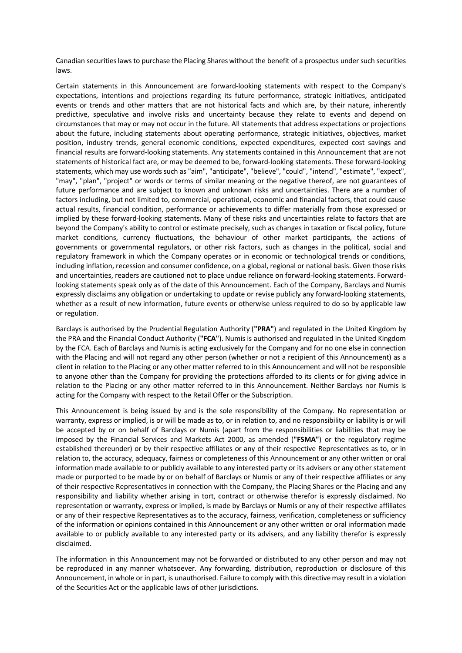Canadian securities laws to purchase the Placing Shares without the benefit of a prospectus under such securities laws.

Certain statements in this Announcement are forward-looking statements with respect to the Company's expectations, intentions and projections regarding its future performance, strategic initiatives, anticipated events or trends and other matters that are not historical facts and which are, by their nature, inherently predictive, speculative and involve risks and uncertainty because they relate to events and depend on circumstances that may or may not occur in the future. All statements that address expectations or projections about the future, including statements about operating performance, strategic initiatives, objectives, market position, industry trends, general economic conditions, expected expenditures, expected cost savings and financial results are forward-looking statements. Any statements contained in this Announcement that are not statements of historical fact are, or may be deemed to be, forward-looking statements. These forward-looking statements, which may use words such as "aim", "anticipate", "believe", "could", "intend", "estimate", "expect", "may", "plan", "project" or words or terms of similar meaning or the negative thereof, are not guarantees of future performance and are subject to known and unknown risks and uncertainties. There are a number of factors including, but not limited to, commercial, operational, economic and financial factors, that could cause actual results, financial condition, performance or achievements to differ materially from those expressed or implied by these forward-looking statements. Many of these risks and uncertainties relate to factors that are beyond the Company's ability to control or estimate precisely, such as changes in taxation or fiscal policy, future market conditions, currency fluctuations, the behaviour of other market participants, the actions of governments or governmental regulators, or other risk factors, such as changes in the political, social and regulatory framework in which the Company operates or in economic or technological trends or conditions, including inflation, recession and consumer confidence, on a global, regional or national basis. Given those risks and uncertainties, readers are cautioned not to place undue reliance on forward-looking statements. Forwardlooking statements speak only as of the date of this Announcement. Each of the Company, Barclays and Numis expressly disclaims any obligation or undertaking to update or revise publicly any forward-looking statements, whether as a result of new information, future events or otherwise unless required to do so by applicable law or regulation.

Barclays is authorised by the Prudential Regulation Authority (**"PRA"**) and regulated in the United Kingdom by the PRA and the Financial Conduct Authority (**"FCA"**). Numis is authorised and regulated in the United Kingdom by the FCA. Each of Barclays and Numis is acting exclusively for the Company and for no one else in connection with the Placing and will not regard any other person (whether or not a recipient of this Announcement) as a client in relation to the Placing or any other matter referred to in this Announcement and will not be responsible to anyone other than the Company for providing the protections afforded to its clients or for giving advice in relation to the Placing or any other matter referred to in this Announcement. Neither Barclays nor Numis is acting for the Company with respect to the Retail Offer or the Subscription.

This Announcement is being issued by and is the sole responsibility of the Company. No representation or warranty, express or implied, is or will be made as to, or in relation to, and no responsibility or liability is or will be accepted by or on behalf of Barclays or Numis (apart from the responsibilities or liabilities that may be imposed by the Financial Services and Markets Act 2000, as amended (**"FSMA"**) or the regulatory regime established thereunder) or by their respective affiliates or any of their respective Representatives as to, or in relation to, the accuracy, adequacy, fairness or completeness of this Announcement or any other written or oral information made available to or publicly available to any interested party or its advisers or any other statement made or purported to be made by or on behalf of Barclays or Numis or any of their respective affiliates or any of their respective Representatives in connection with the Company, the Placing Shares or the Placing and any responsibility and liability whether arising in tort, contract or otherwise therefor is expressly disclaimed. No representation or warranty, express or implied, is made by Barclays or Numis or any of their respective affiliates or any of their respective Representatives as to the accuracy, fairness, verification, completeness or sufficiency of the information or opinions contained in this Announcement or any other written or oral information made available to or publicly available to any interested party or its advisers, and any liability therefor is expressly disclaimed.

The information in this Announcement may not be forwarded or distributed to any other person and may not be reproduced in any manner whatsoever. Any forwarding, distribution, reproduction or disclosure of this Announcement, in whole or in part, is unauthorised. Failure to comply with this directive may result in a violation of the Securities Act or the applicable laws of other jurisdictions.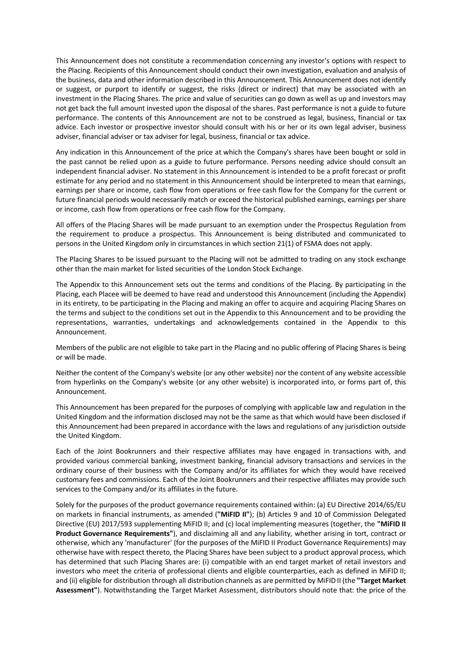This Announcement does not constitute a recommendation concerning any investor's options with respect to the Placing. Recipients of this Announcement should conduct their own investigation, evaluation and analysis of the business, data and other information described in this Announcement. This Announcement does not identify or suggest, or purport to identify or suggest, the risks (direct or indirect) that may be associated with an investment in the Placing Shares. The price and value of securities can go down as well as up and investors may not get back the full amount invested upon the disposal of the shares. Past performance is not a guide to future performance. The contents of this Announcement are not to be construed as legal, business, financial or tax advice. Each investor or prospective investor should consult with his or her or its own legal adviser, business adviser, financial adviser or tax adviser for legal, business, financial or tax advice.

Any indication in this Announcement of the price at which the Company's shares have been bought or sold in the past cannot be relied upon as a guide to future performance. Persons needing advice should consult an independent financial adviser. No statement in this Announcement is intended to be a profit forecast or profit estimate for any period and no statement in this Announcement should be interpreted to mean that earnings, earnings per share or income, cash flow from operations or free cash flow for the Company for the current or future financial periods would necessarily match or exceed the historical published earnings, earnings per share or income, cash flow from operations or free cash flow for the Company.

All offers of the Placing Shares will be made pursuant to an exemption under the Prospectus Regulation from the requirement to produce a prospectus. This Announcement is being distributed and communicated to persons in the United Kingdom only in circumstances in which section 21(1) of FSMA does not apply.

The Placing Shares to be issued pursuant to the Placing will not be admitted to trading on any stock exchange other than the main market for listed securities of the London Stock Exchange.

The Appendix to this Announcement sets out the terms and conditions of the Placing. By participating in the Placing, each Placee will be deemed to have read and understood this Announcement (including the Appendix) in its entirety, to be participating in the Placing and making an offer to acquire and acquiring Placing Shares on the terms and subject to the conditions set out in the Appendix to this Announcement and to be providing the representations, warranties, undertakings and acknowledgements contained in the Appendix to this Announcement.

Members of the public are not eligible to take part in the Placing and no public offering of Placing Shares is being or will be made.

Neither the content of the Company's website (or any other website) nor the content of any website accessible from hyperlinks on the Company's website (or any other website) is incorporated into, or forms part of, this Announcement.

This Announcement has been prepared for the purposes of complying with applicable law and regulation in the United Kingdom and the information disclosed may not be the same as that which would have been disclosed if this Announcement had been prepared in accordance with the laws and regulations of any jurisdiction outside the United Kingdom.

Each of the Joint Bookrunners and their respective affiliates may have engaged in transactions with, and provided various commercial banking, investment banking, financial advisory transactions and services in the ordinary course of their business with the Company and/or its affiliates for which they would have received customary fees and commissions. Each of the Joint Bookrunners and their respective affiliates may provide such services to the Company and/or its affiliates in the future.

Solely for the purposes of the product governance requirements contained within: (a) EU Directive 2014/65/EU on markets in financial instruments, as amended (**"MiFID II"**); (b) Articles 9 and 10 of Commission Delegated Directive (EU) 2017/593 supplementing MiFID II; and (c) local implementing measures (together, the **"MiFID II Product Governance Requirements"**), and disclaiming all and any liability, whether arising in tort, contract or otherwise, which any 'manufacturer' (for the purposes of the MiFID II Product Governance Requirements) may otherwise have with respect thereto, the Placing Shares have been subject to a product approval process, which has determined that such Placing Shares are: (i) compatible with an end target market of retail investors and investors who meet the criteria of professional clients and eligible counterparties, each as defined in MiFID II; and (ii) eligible for distribution through all distribution channels as are permitted by MiFID II (the **"Target Market Assessment"**). Notwithstanding the Target Market Assessment, distributors should note that: the price of the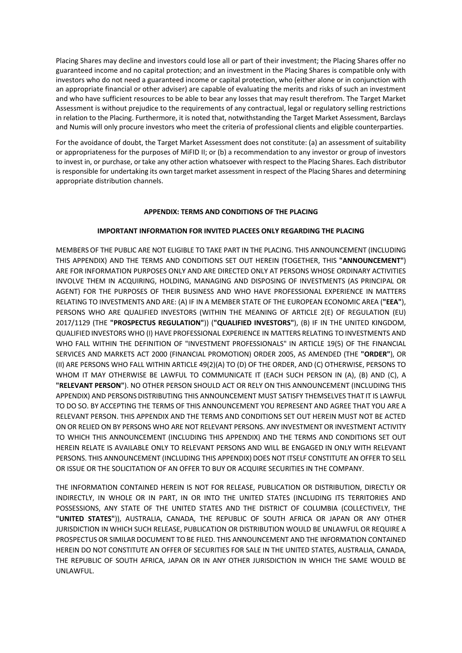Placing Shares may decline and investors could lose all or part of their investment; the Placing Shares offer no guaranteed income and no capital protection; and an investment in the Placing Shares is compatible only with investors who do not need a guaranteed income or capital protection, who (either alone or in conjunction with an appropriate financial or other adviser) are capable of evaluating the merits and risks of such an investment and who have sufficient resources to be able to bear any losses that may result therefrom. The Target Market Assessment is without prejudice to the requirements of any contractual, legal or regulatory selling restrictions in relation to the Placing. Furthermore, it is noted that, notwithstanding the Target Market Assessment, Barclays and Numis will only procure investors who meet the criteria of professional clients and eligible counterparties.

For the avoidance of doubt, the Target Market Assessment does not constitute: (a) an assessment of suitability or appropriateness for the purposes of MiFID II; or (b) a recommendation to any investor or group of investors to invest in, or purchase, or take any other action whatsoever with respect to the Placing Shares. Each distributor is responsible for undertaking its own target market assessment in respect of the Placing Shares and determining appropriate distribution channels.

## **APPENDIX: TERMS AND CONDITIONS OF THE PLACING**

## **IMPORTANT INFORMATION FOR INVITED PLACEES ONLY REGARDING THE PLACING**

MEMBERS OF THE PUBLIC ARE NOT ELIGIBLE TO TAKE PART IN THE PLACING. THIS ANNOUNCEMENT (INCLUDING THIS APPENDIX) AND THE TERMS AND CONDITIONS SET OUT HEREIN (TOGETHER, THIS **"ANNOUNCEMENT"**) ARE FOR INFORMATION PURPOSES ONLY AND ARE DIRECTED ONLY AT PERSONS WHOSE ORDINARY ACTIVITIES INVOLVE THEM IN ACQUIRING, HOLDING, MANAGING AND DISPOSING OF INVESTMENTS (AS PRINCIPAL OR AGENT) FOR THE PURPOSES OF THEIR BUSINESS AND WHO HAVE PROFESSIONAL EXPERIENCE IN MATTERS RELATING TO INVESTMENTS AND ARE: (A) IF IN A MEMBER STATE OF THE EUROPEAN ECONOMIC AREA (**"EEA"**), PERSONS WHO ARE QUALIFIED INVESTORS (WITHIN THE MEANING OF ARTICLE 2(E) OF REGULATION (EU) 2017/1129 (THE **"PROSPECTUS REGULATION"**)) (**"QUALIFIED INVESTORS"**), (B) IF IN THE UNITED KINGDOM, QUALIFIED INVESTORS WHO (I) HAVE PROFESSIONAL EXPERIENCE IN MATTERS RELATING TO INVESTMENTS AND WHO FALL WITHIN THE DEFINITION OF "INVESTMENT PROFESSIONALS" IN ARTICLE 19(5) OF THE FINANCIAL SERVICES AND MARKETS ACT 2000 (FINANCIAL PROMOTION) ORDER 2005, AS AMENDED (THE **"ORDER"**), OR (II) ARE PERSONS WHO FALL WITHIN ARTICLE 49(2)(A) TO (D) OF THE ORDER, AND (C) OTHERWISE, PERSONS TO WHOM IT MAY OTHERWISE BE LAWFUL TO COMMUNICATE IT (EACH SUCH PERSON IN (A), (B) AND (C), A **"RELEVANT PERSON"**). NO OTHER PERSON SHOULD ACT OR RELY ON THIS ANNOUNCEMENT (INCLUDING THIS APPENDIX) AND PERSONS DISTRIBUTING THIS ANNOUNCEMENT MUST SATISFY THEMSELVES THAT IT IS LAWFUL TO DO SO. BY ACCEPTING THE TERMS OF THIS ANNOUNCEMENT YOU REPRESENT AND AGREE THAT YOU ARE A RELEVANT PERSON. THIS APPENDIX AND THE TERMS AND CONDITIONS SET OUT HEREIN MUST NOT BE ACTED ON OR RELIED ON BY PERSONS WHO ARE NOT RELEVANT PERSONS. ANY INVESTMENT OR INVESTMENT ACTIVITY TO WHICH THIS ANNOUNCEMENT (INCLUDING THIS APPENDIX) AND THE TERMS AND CONDITIONS SET OUT HEREIN RELATE IS AVAILABLE ONLY TO RELEVANT PERSONS AND WILL BE ENGAGED IN ONLY WITH RELEVANT PERSONS. THIS ANNOUNCEMENT (INCLUDING THIS APPENDIX) DOES NOT ITSELF CONSTITUTE AN OFFER TO SELL OR ISSUE OR THE SOLICITATION OF AN OFFER TO BUY OR ACQUIRE SECURITIES IN THE COMPANY.

THE INFORMATION CONTAINED HEREIN IS NOT FOR RELEASE, PUBLICATION OR DISTRIBUTION, DIRECTLY OR INDIRECTLY, IN WHOLE OR IN PART, IN OR INTO THE UNITED STATES (INCLUDING ITS TERRITORIES AND POSSESSIONS, ANY STATE OF THE UNITED STATES AND THE DISTRICT OF COLUMBIA (COLLECTIVELY, THE **"UNITED STATES"**)), AUSTRALIA, CANADA, THE REPUBLIC OF SOUTH AFRICA OR JAPAN OR ANY OTHER JURISDICTION IN WHICH SUCH RELEASE, PUBLICATION OR DISTRIBUTION WOULD BE UNLAWFUL OR REQUIRE A PROSPECTUS OR SIMILAR DOCUMENT TO BE FILED. THIS ANNOUNCEMENT AND THE INFORMATION CONTAINED HEREIN DO NOT CONSTITUTE AN OFFER OF SECURITIES FOR SALE IN THE UNITED STATES, AUSTRALIA, CANADA, THE REPUBLIC OF SOUTH AFRICA, JAPAN OR IN ANY OTHER JURISDICTION IN WHICH THE SAME WOULD BE UNLAWFUL.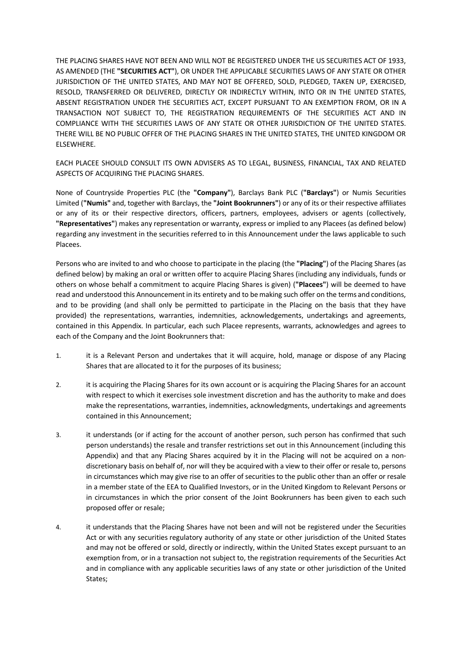THE PLACING SHARES HAVE NOT BEEN AND WILL NOT BE REGISTERED UNDER THE US SECURITIES ACT OF 1933, AS AMENDED (THE **"SECURITIES ACT"**), OR UNDER THE APPLICABLE SECURITIES LAWS OF ANY STATE OR OTHER JURISDICTION OF THE UNITED STATES, AND MAY NOT BE OFFERED, SOLD, PLEDGED, TAKEN UP, EXERCISED, RESOLD, TRANSFERRED OR DELIVERED, DIRECTLY OR INDIRECTLY WITHIN, INTO OR IN THE UNITED STATES, ABSENT REGISTRATION UNDER THE SECURITIES ACT, EXCEPT PURSUANT TO AN EXEMPTION FROM, OR IN A TRANSACTION NOT SUBJECT TO, THE REGISTRATION REQUIREMENTS OF THE SECURITIES ACT AND IN COMPLIANCE WITH THE SECURITIES LAWS OF ANY STATE OR OTHER JURISDICTION OF THE UNITED STATES. THERE WILL BE NO PUBLIC OFFER OF THE PLACING SHARES IN THE UNITED STATES, THE UNITED KINGDOM OR ELSEWHERE.

EACH PLACEE SHOULD CONSULT ITS OWN ADVISERS AS TO LEGAL, BUSINESS, FINANCIAL, TAX AND RELATED ASPECTS OF ACQUIRING THE PLACING SHARES.

None of Countryside Properties PLC (the **"Company"**), Barclays Bank PLC (**"Barclays"**) or Numis Securities Limited (**"Numis"** and, together with Barclays, the **"Joint Bookrunners"**) or any of its or their respective affiliates or any of its or their respective directors, officers, partners, employees, advisers or agents (collectively, **"Representatives"**) makes any representation or warranty, express or implied to any Placees (as defined below) regarding any investment in the securities referred to in this Announcement under the laws applicable to such Placees.

Persons who are invited to and who choose to participate in the placing (the **"Placing"**) of the Placing Shares (as defined below) by making an oral or written offer to acquire Placing Shares (including any individuals, funds or others on whose behalf a commitment to acquire Placing Shares is given) (**"Placees"**) will be deemed to have read and understood this Announcement in its entirety and to be making such offer on the terms and conditions, and to be providing (and shall only be permitted to participate in the Placing on the basis that they have provided) the representations, warranties, indemnities, acknowledgements, undertakings and agreements, contained in this Appendix. In particular, each such Placee represents, warrants, acknowledges and agrees to each of the Company and the Joint Bookrunners that:

- 1. it is a Relevant Person and undertakes that it will acquire, hold, manage or dispose of any Placing Shares that are allocated to it for the purposes of its business;
- 2. it is acquiring the Placing Shares for its own account or is acquiring the Placing Shares for an account with respect to which it exercises sole investment discretion and has the authority to make and does make the representations, warranties, indemnities, acknowledgments, undertakings and agreements contained in this Announcement;
- 3. it understands (or if acting for the account of another person, such person has confirmed that such person understands) the resale and transfer restrictions set out in this Announcement (including this Appendix) and that any Placing Shares acquired by it in the Placing will not be acquired on a nondiscretionary basis on behalf of, nor will they be acquired with a view to their offer or resale to, persons in circumstances which may give rise to an offer of securities to the public other than an offer or resale in a member state of the EEA to Qualified Investors, or in the United Kingdom to Relevant Persons or in circumstances in which the prior consent of the Joint Bookrunners has been given to each such proposed offer or resale;
- 4. it understands that the Placing Shares have not been and will not be registered under the Securities Act or with any securities regulatory authority of any state or other jurisdiction of the United States and may not be offered or sold, directly or indirectly, within the United States except pursuant to an exemption from, or in a transaction not subject to, the registration requirements of the Securities Act and in compliance with any applicable securities laws of any state or other jurisdiction of the United States;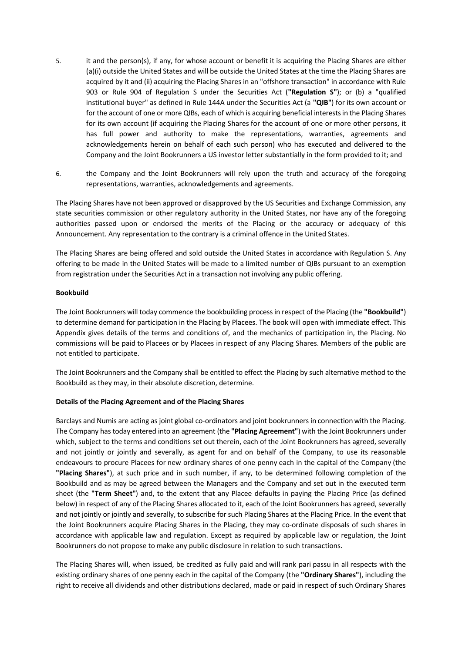- 5. it and the person(s), if any, for whose account or benefit it is acquiring the Placing Shares are either (a)(i) outside the United States and will be outside the United States at the time the Placing Shares are acquired by it and (ii) acquiring the Placing Shares in an "offshore transaction" in accordance with Rule 903 or Rule 904 of Regulation S under the Securities Act (**"Regulation S"**); or (b) a "qualified institutional buyer" as defined in Rule 144A under the Securities Act (a **"QIB"**) for its own account or for the account of one or more QIBs, each of which is acquiring beneficial interests in the Placing Shares for its own account (if acquiring the Placing Shares for the account of one or more other persons, it has full power and authority to make the representations, warranties, agreements and acknowledgements herein on behalf of each such person) who has executed and delivered to the Company and the Joint Bookrunners a US investor letter substantially in the form provided to it; and
- 6. the Company and the Joint Bookrunners will rely upon the truth and accuracy of the foregoing representations, warranties, acknowledgements and agreements.

The Placing Shares have not been approved or disapproved by the US Securities and Exchange Commission, any state securities commission or other regulatory authority in the United States, nor have any of the foregoing authorities passed upon or endorsed the merits of the Placing or the accuracy or adequacy of this Announcement. Any representation to the contrary is a criminal offence in the United States.

The Placing Shares are being offered and sold outside the United States in accordance with Regulation S. Any offering to be made in the United States will be made to a limited number of QIBs pursuant to an exemption from registration under the Securities Act in a transaction not involving any public offering.

## **Bookbuild**

The Joint Bookrunners will today commence the bookbuilding process in respect of the Placing (the **"Bookbuild"**) to determine demand for participation in the Placing by Placees. The book will open with immediate effect. This Appendix gives details of the terms and conditions of, and the mechanics of participation in, the Placing. No commissions will be paid to Placees or by Placees in respect of any Placing Shares. Members of the public are not entitled to participate.

The Joint Bookrunners and the Company shall be entitled to effect the Placing by such alternative method to the Bookbuild as they may, in their absolute discretion, determine.

### **Details of the Placing Agreement and of the Placing Shares**

Barclays and Numis are acting as joint global co-ordinators and joint bookrunners in connection with the Placing. The Company has today entered into an agreement (the **"Placing Agreement"**) with the Joint Bookrunners under which, subject to the terms and conditions set out therein, each of the Joint Bookrunners has agreed, severally and not jointly or jointly and severally, as agent for and on behalf of the Company, to use its reasonable endeavours to procure Placees for new ordinary shares of one penny each in the capital of the Company (the **"Placing Shares"**), at such price and in such number, if any, to be determined following completion of the Bookbuild and as may be agreed between the Managers and the Company and set out in the executed term sheet (the **"Term Sheet"**) and, to the extent that any Placee defaults in paying the Placing Price (as defined below) in respect of any of the Placing Shares allocated to it, each of the Joint Bookrunners has agreed, severally and not jointly or jointly and severally, to subscribe for such Placing Shares at the Placing Price. In the event that the Joint Bookrunners acquire Placing Shares in the Placing, they may co-ordinate disposals of such shares in accordance with applicable law and regulation. Except as required by applicable law or regulation, the Joint Bookrunners do not propose to make any public disclosure in relation to such transactions.

The Placing Shares will, when issued, be credited as fully paid and will rank pari passu in all respects with the existing ordinary shares of one penny each in the capital of the Company (the **"Ordinary Shares"**), including the right to receive all dividends and other distributions declared, made or paid in respect of such Ordinary Shares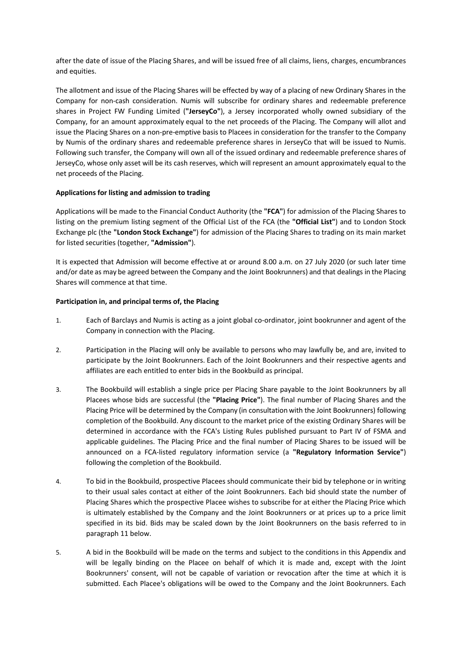after the date of issue of the Placing Shares, and will be issued free of all claims, liens, charges, encumbrances and equities.

The allotment and issue of the Placing Shares will be effected by way of a placing of new Ordinary Shares in the Company for non-cash consideration. Numis will subscribe for ordinary shares and redeemable preference shares in Project FW Funding Limited (**"JerseyCo"**), a Jersey incorporated wholly owned subsidiary of the Company, for an amount approximately equal to the net proceeds of the Placing. The Company will allot and issue the Placing Shares on a non-pre-emptive basis to Placees in consideration for the transfer to the Company by Numis of the ordinary shares and redeemable preference shares in JerseyCo that will be issued to Numis. Following such transfer, the Company will own all of the issued ordinary and redeemable preference shares of JerseyCo, whose only asset will be its cash reserves, which will represent an amount approximately equal to the net proceeds of the Placing.

## **Applications for listing and admission to trading**

Applications will be made to the Financial Conduct Authority (the **"FCA"**) for admission of the Placing Shares to listing on the premium listing segment of the Official List of the FCA (the **"Official List"**) and to London Stock Exchange plc (the **"London Stock Exchange"**) for admission of the Placing Shares to trading on its main market for listed securities (together, **"Admission"**).

It is expected that Admission will become effective at or around 8.00 a.m. on 27 July 2020 (or such later time and/or date as may be agreed between the Company and the Joint Bookrunners) and that dealings in the Placing Shares will commence at that time.

# **Participation in, and principal terms of, the Placing**

- 1. Each of Barclays and Numis is acting as a joint global co-ordinator, joint bookrunner and agent of the Company in connection with the Placing.
- 2. Participation in the Placing will only be available to persons who may lawfully be, and are, invited to participate by the Joint Bookrunners. Each of the Joint Bookrunners and their respective agents and affiliates are each entitled to enter bids in the Bookbuild as principal.
- 3. The Bookbuild will establish a single price per Placing Share payable to the Joint Bookrunners by all Placees whose bids are successful (the **"Placing Price"**). The final number of Placing Shares and the Placing Price will be determined by the Company (in consultation with the Joint Bookrunners) following completion of the Bookbuild. Any discount to the market price of the existing Ordinary Shares will be determined in accordance with the FCA's Listing Rules published pursuant to Part IV of FSMA and applicable guidelines. The Placing Price and the final number of Placing Shares to be issued will be announced on a FCA-listed regulatory information service (a **"Regulatory Information Service"**) following the completion of the Bookbuild.
- 4. To bid in the Bookbuild, prospective Placees should communicate their bid by telephone or in writing to their usual sales contact at either of the Joint Bookrunners. Each bid should state the number of Placing Shares which the prospective Placee wishes to subscribe for at either the Placing Price which is ultimately established by the Company and the Joint Bookrunners or at prices up to a price limit specified in its bid. Bids may be scaled down by the Joint Bookrunners on the basis referred to in paragraph 11 below.
- 5. A bid in the Bookbuild will be made on the terms and subject to the conditions in this Appendix and will be legally binding on the Placee on behalf of which it is made and, except with the Joint Bookrunners' consent, will not be capable of variation or revocation after the time at which it is submitted. Each Placee's obligations will be owed to the Company and the Joint Bookrunners. Each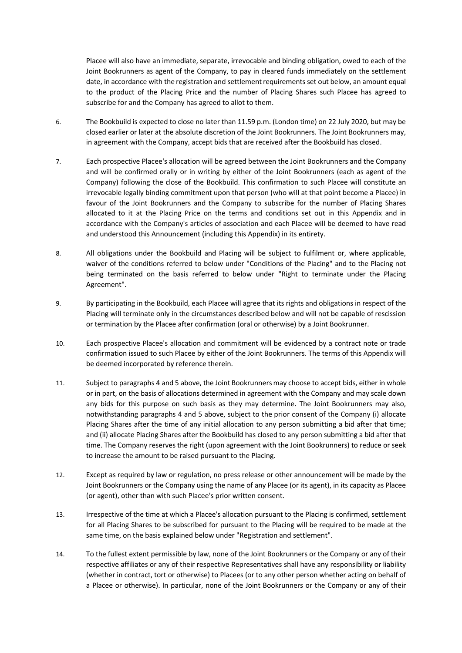Placee will also have an immediate, separate, irrevocable and binding obligation, owed to each of the Joint Bookrunners as agent of the Company, to pay in cleared funds immediately on the settlement date, in accordance with the registration and settlement requirements set out below, an amount equal to the product of the Placing Price and the number of Placing Shares such Placee has agreed to subscribe for and the Company has agreed to allot to them.

- 6. The Bookbuild is expected to close no later than 11.59 p.m. (London time) on 22 July 2020, but may be closed earlier or later at the absolute discretion of the Joint Bookrunners. The Joint Bookrunners may, in agreement with the Company, accept bids that are received after the Bookbuild has closed.
- 7. Each prospective Placee's allocation will be agreed between the Joint Bookrunners and the Company and will be confirmed orally or in writing by either of the Joint Bookrunners (each as agent of the Company) following the close of the Bookbuild. This confirmation to such Placee will constitute an irrevocable legally binding commitment upon that person (who will at that point become a Placee) in favour of the Joint Bookrunners and the Company to subscribe for the number of Placing Shares allocated to it at the Placing Price on the terms and conditions set out in this Appendix and in accordance with the Company's articles of association and each Placee will be deemed to have read and understood this Announcement (including this Appendix) in its entirety.
- 8. All obligations under the Bookbuild and Placing will be subject to fulfilment or, where applicable, waiver of the conditions referred to below under "Conditions of the Placing" and to the Placing not being terminated on the basis referred to below under "Right to terminate under the Placing Agreement".
- 9. By participating in the Bookbuild, each Placee will agree that its rights and obligations in respect of the Placing will terminate only in the circumstances described below and will not be capable of rescission or termination by the Placee after confirmation (oral or otherwise) by a Joint Bookrunner.
- 10. Each prospective Placee's allocation and commitment will be evidenced by a contract note or trade confirmation issued to such Placee by either of the Joint Bookrunners. The terms of this Appendix will be deemed incorporated by reference therein.
- 11. Subject to paragraphs 4 and 5 above, the Joint Bookrunners may choose to accept bids, either in whole or in part, on the basis of allocations determined in agreement with the Company and may scale down any bids for this purpose on such basis as they may determine. The Joint Bookrunners may also, notwithstanding paragraphs 4 and 5 above, subject to the prior consent of the Company (i) allocate Placing Shares after the time of any initial allocation to any person submitting a bid after that time; and (ii) allocate Placing Shares after the Bookbuild has closed to any person submitting a bid after that time. The Company reserves the right (upon agreement with the Joint Bookrunners) to reduce or seek to increase the amount to be raised pursuant to the Placing.
- 12. Except as required by law or regulation, no press release or other announcement will be made by the Joint Bookrunners or the Company using the name of any Placee (or its agent), in its capacity as Placee (or agent), other than with such Placee's prior written consent.
- 13. Irrespective of the time at which a Placee's allocation pursuant to the Placing is confirmed, settlement for all Placing Shares to be subscribed for pursuant to the Placing will be required to be made at the same time, on the basis explained below under "Registration and settlement".
- 14. To the fullest extent permissible by law, none of the Joint Bookrunners or the Company or any of their respective affiliates or any of their respective Representatives shall have any responsibility or liability (whether in contract, tort or otherwise) to Placees (or to any other person whether acting on behalf of a Placee or otherwise). In particular, none of the Joint Bookrunners or the Company or any of their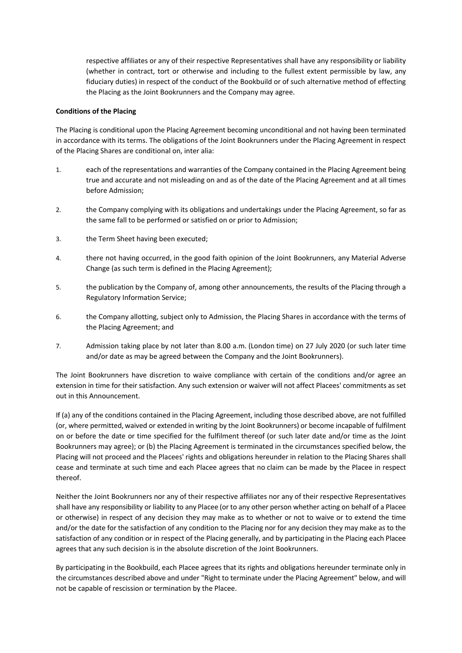respective affiliates or any of their respective Representatives shall have any responsibility or liability (whether in contract, tort or otherwise and including to the fullest extent permissible by law, any fiduciary duties) in respect of the conduct of the Bookbuild or of such alternative method of effecting the Placing as the Joint Bookrunners and the Company may agree.

### **Conditions of the Placing**

The Placing is conditional upon the Placing Agreement becoming unconditional and not having been terminated in accordance with its terms. The obligations of the Joint Bookrunners under the Placing Agreement in respect of the Placing Shares are conditional on, inter alia:

- 1. each of the representations and warranties of the Company contained in the Placing Agreement being true and accurate and not misleading on and as of the date of the Placing Agreement and at all times before Admission;
- 2. the Company complying with its obligations and undertakings under the Placing Agreement, so far as the same fall to be performed or satisfied on or prior to Admission;
- 3. the Term Sheet having been executed;
- 4. there not having occurred, in the good faith opinion of the Joint Bookrunners, any Material Adverse Change (as such term is defined in the Placing Agreement);
- 5. the publication by the Company of, among other announcements, the results of the Placing through a Regulatory Information Service;
- 6. the Company allotting, subject only to Admission, the Placing Shares in accordance with the terms of the Placing Agreement; and
- 7. Admission taking place by not later than 8.00 a.m. (London time) on 27 July 2020 (or such later time and/or date as may be agreed between the Company and the Joint Bookrunners).

The Joint Bookrunners have discretion to waive compliance with certain of the conditions and/or agree an extension in time for their satisfaction. Any such extension or waiver will not affect Placees' commitments as set out in this Announcement.

If (a) any of the conditions contained in the Placing Agreement, including those described above, are not fulfilled (or, where permitted, waived or extended in writing by the Joint Bookrunners) or become incapable of fulfilment on or before the date or time specified for the fulfilment thereof (or such later date and/or time as the Joint Bookrunners may agree); or (b) the Placing Agreement is terminated in the circumstances specified below, the Placing will not proceed and the Placees' rights and obligations hereunder in relation to the Placing Shares shall cease and terminate at such time and each Placee agrees that no claim can be made by the Placee in respect thereof.

Neither the Joint Bookrunners nor any of their respective affiliates nor any of their respective Representatives shall have any responsibility or liability to any Placee (or to any other person whether acting on behalf of a Placee or otherwise) in respect of any decision they may make as to whether or not to waive or to extend the time and/or the date for the satisfaction of any condition to the Placing nor for any decision they may make as to the satisfaction of any condition or in respect of the Placing generally, and by participating in the Placing each Placee agrees that any such decision is in the absolute discretion of the Joint Bookrunners.

By participating in the Bookbuild, each Placee agrees that its rights and obligations hereunder terminate only in the circumstances described above and under "Right to terminate under the Placing Agreement" below, and will not be capable of rescission or termination by the Placee.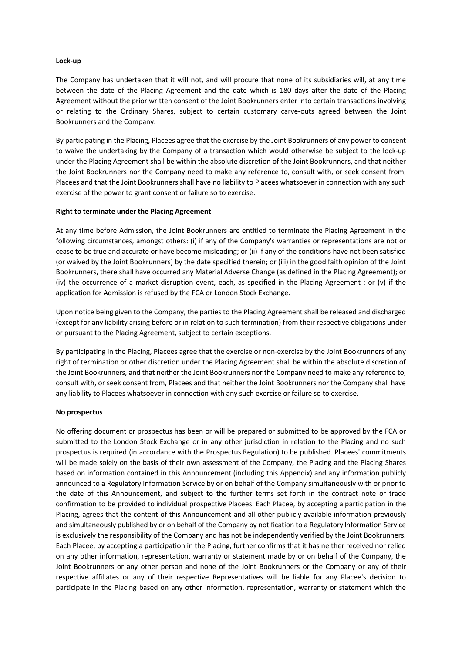### **Lock-up**

The Company has undertaken that it will not, and will procure that none of its subsidiaries will, at any time between the date of the Placing Agreement and the date which is 180 days after the date of the Placing Agreement without the prior written consent of the Joint Bookrunners enter into certain transactions involving or relating to the Ordinary Shares, subject to certain customary carve-outs agreed between the Joint Bookrunners and the Company.

By participating in the Placing, Placees agree that the exercise by the Joint Bookrunners of any power to consent to waive the undertaking by the Company of a transaction which would otherwise be subject to the lock-up under the Placing Agreement shall be within the absolute discretion of the Joint Bookrunners, and that neither the Joint Bookrunners nor the Company need to make any reference to, consult with, or seek consent from, Placees and that the Joint Bookrunners shall have no liability to Placees whatsoever in connection with any such exercise of the power to grant consent or failure so to exercise.

### **Right to terminate under the Placing Agreement**

At any time before Admission, the Joint Bookrunners are entitled to terminate the Placing Agreement in the following circumstances, amongst others: (i) if any of the Company's warranties or representations are not or cease to be true and accurate or have become misleading; or (ii) if any of the conditions have not been satisfied (or waived by the Joint Bookrunners) by the date specified therein; or (iii) in the good faith opinion of the Joint Bookrunners, there shall have occurred any Material Adverse Change (as defined in the Placing Agreement); or (iv) the occurrence of a market disruption event, each, as specified in the Placing Agreement ; or (v) if the application for Admission is refused by the FCA or London Stock Exchange.

Upon notice being given to the Company, the parties to the Placing Agreement shall be released and discharged (except for any liability arising before or in relation to such termination) from their respective obligations under or pursuant to the Placing Agreement, subject to certain exceptions.

By participating in the Placing, Placees agree that the exercise or non-exercise by the Joint Bookrunners of any right of termination or other discretion under the Placing Agreement shall be within the absolute discretion of the Joint Bookrunners, and that neither the Joint Bookrunners nor the Company need to make any reference to, consult with, or seek consent from, Placees and that neither the Joint Bookrunners nor the Company shall have any liability to Placees whatsoever in connection with any such exercise or failure so to exercise.

#### **No prospectus**

No offering document or prospectus has been or will be prepared or submitted to be approved by the FCA or submitted to the London Stock Exchange or in any other jurisdiction in relation to the Placing and no such prospectus is required (in accordance with the Prospectus Regulation) to be published. Placees' commitments will be made solely on the basis of their own assessment of the Company, the Placing and the Placing Shares based on information contained in this Announcement (including this Appendix) and any information publicly announced to a Regulatory Information Service by or on behalf of the Company simultaneously with or prior to the date of this Announcement, and subject to the further terms set forth in the contract note or trade confirmation to be provided to individual prospective Placees. Each Placee, by accepting a participation in the Placing, agrees that the content of this Announcement and all other publicly available information previously and simultaneously published by or on behalf of the Company by notification to a Regulatory Information Service is exclusively the responsibility of the Company and has not be independently verified by the Joint Bookrunners. Each Placee, by accepting a participation in the Placing, further confirms that it has neither received nor relied on any other information, representation, warranty or statement made by or on behalf of the Company, the Joint Bookrunners or any other person and none of the Joint Bookrunners or the Company or any of their respective affiliates or any of their respective Representatives will be liable for any Placee's decision to participate in the Placing based on any other information, representation, warranty or statement which the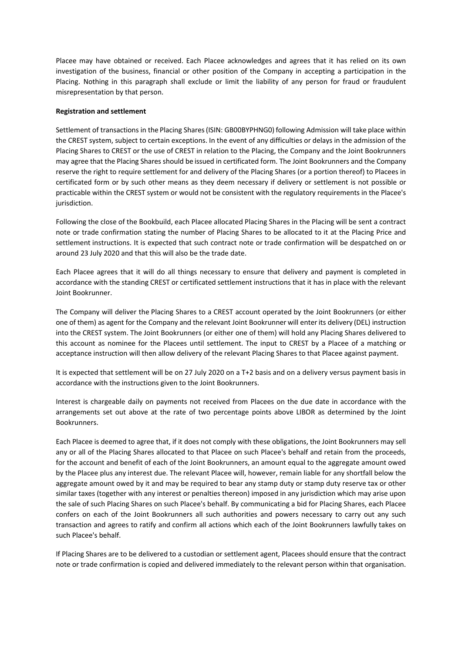Placee may have obtained or received. Each Placee acknowledges and agrees that it has relied on its own investigation of the business, financial or other position of the Company in accepting a participation in the Placing. Nothing in this paragraph shall exclude or limit the liability of any person for fraud or fraudulent misrepresentation by that person.

### **Registration and settlement**

Settlement of transactions in the Placing Shares (ISIN: GB00BYPHNG0) following Admission will take place within the CREST system, subject to certain exceptions. In the event of any difficulties or delays in the admission of the Placing Shares to CREST or the use of CREST in relation to the Placing, the Company and the Joint Bookrunners may agree that the Placing Shares should be issued in certificated form. The Joint Bookrunners and the Company reserve the right to require settlement for and delivery of the Placing Shares (or a portion thereof) to Placees in certificated form or by such other means as they deem necessary if delivery or settlement is not possible or practicable within the CREST system or would not be consistent with the regulatory requirements in the Placee's jurisdiction.

Following the close of the Bookbuild, each Placee allocated Placing Shares in the Placing will be sent a contract note or trade confirmation stating the number of Placing Shares to be allocated to it at the Placing Price and settlement instructions. It is expected that such contract note or trade confirmation will be despatched on or around 23 July 2020 and that this will also be the trade date.

Each Placee agrees that it will do all things necessary to ensure that delivery and payment is completed in accordance with the standing CREST or certificated settlement instructions that it has in place with the relevant Joint Bookrunner.

The Company will deliver the Placing Shares to a CREST account operated by the Joint Bookrunners (or either one of them) as agent for the Company and the relevant Joint Bookrunner will enter its delivery (DEL) instruction into the CREST system. The Joint Bookrunners (or either one of them) will hold any Placing Shares delivered to this account as nominee for the Placees until settlement. The input to CREST by a Placee of a matching or acceptance instruction will then allow delivery of the relevant Placing Shares to that Placee against payment.

It is expected that settlement will be on 27 July 2020 on a T+2 basis and on a delivery versus payment basis in accordance with the instructions given to the Joint Bookrunners.

Interest is chargeable daily on payments not received from Placees on the due date in accordance with the arrangements set out above at the rate of two percentage points above LIBOR as determined by the Joint Bookrunners.

Each Placee is deemed to agree that, if it does not comply with these obligations, the Joint Bookrunners may sell any or all of the Placing Shares allocated to that Placee on such Placee's behalf and retain from the proceeds, for the account and benefit of each of the Joint Bookrunners, an amount equal to the aggregate amount owed by the Placee plus any interest due. The relevant Placee will, however, remain liable for any shortfall below the aggregate amount owed by it and may be required to bear any stamp duty or stamp duty reserve tax or other similar taxes (together with any interest or penalties thereon) imposed in any jurisdiction which may arise upon the sale of such Placing Shares on such Placee's behalf. By communicating a bid for Placing Shares, each Placee confers on each of the Joint Bookrunners all such authorities and powers necessary to carry out any such transaction and agrees to ratify and confirm all actions which each of the Joint Bookrunners lawfully takes on such Placee's behalf.

If Placing Shares are to be delivered to a custodian or settlement agent, Placees should ensure that the contract note or trade confirmation is copied and delivered immediately to the relevant person within that organisation.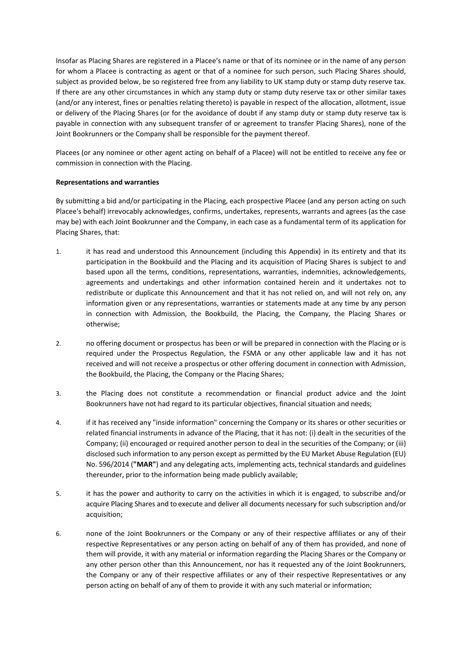Insofar as Placing Shares are registered in a Placee's name or that of its nominee or in the name of any person for whom a Placee is contracting as agent or that of a nominee for such person, such Placing Shares should, subject as provided below, be so registered free from any liability to UK stamp duty or stamp duty reserve tax. If there are any other circumstances in which any stamp duty or stamp duty reserve tax or other similar taxes (and/or any interest, fines or penalties relating thereto) is payable in respect of the allocation, allotment, issue or delivery of the Placing Shares (or for the avoidance of doubt if any stamp duty or stamp duty reserve tax is payable in connection with any subsequent transfer of or agreement to transfer Placing Shares), none of the Joint Bookrunners or the Company shall be responsible for the payment thereof.

Placees (or any nominee or other agent acting on behalf of a Placee) will not be entitled to receive any fee or commission in connection with the Placing.

# **Representations and warranties**

By submitting a bid and/or participating in the Placing, each prospective Placee (and any person acting on such Placee's behalf) irrevocably acknowledges, confirms, undertakes, represents, warrants and agrees (as the case may be) with each Joint Bookrunner and the Company, in each case as a fundamental term of its application for Placing Shares, that:

- 1. it has read and understood this Announcement (including this Appendix) in its entirety and that its participation in the Bookbuild and the Placing and its acquisition of Placing Shares is subject to and based upon all the terms, conditions, representations, warranties, indemnities, acknowledgements, agreements and undertakings and other information contained herein and it undertakes not to redistribute or duplicate this Announcement and that it has not relied on, and will not rely on, any information given or any representations, warranties or statements made at any time by any person in connection with Admission, the Bookbuild, the Placing, the Company, the Placing Shares or otherwise;
- 2. no offering document or prospectus has been or will be prepared in connection with the Placing or is required under the Prospectus Regulation, the FSMA or any other applicable law and it has not received and will not receive a prospectus or other offering document in connection with Admission, the Bookbuild, the Placing, the Company or the Placing Shares;
- 3. the Placing does not constitute a recommendation or financial product advice and the Joint Bookrunners have not had regard to its particular objectives, financial situation and needs;
- 4. if it has received any "inside information" concerning the Company or its shares or other securities or related financial instruments in advance of the Placing, that it has not: (i) dealt in the securities of the Company; (ii) encouraged or required another person to deal in the securities of the Company; or (iii) disclosed such information to any person except as permitted by the EU Market Abuse Regulation (EU) No. 596/2014 (**"MAR"**) and any delegating acts, implementing acts, technical standards and guidelines thereunder, prior to the information being made publicly available;
- 5. it has the power and authority to carry on the activities in which it is engaged, to subscribe and/or acquire Placing Shares and to execute and deliver all documents necessary for such subscription and/or acquisition;
- 6. none of the Joint Bookrunners or the Company or any of their respective affiliates or any of their respective Representatives or any person acting on behalf of any of them has provided, and none of them will provide, it with any material or information regarding the Placing Shares or the Company or any other person other than this Announcement, nor has it requested any of the Joint Bookrunners, the Company or any of their respective affiliates or any of their respective Representatives or any person acting on behalf of any of them to provide it with any such material or information;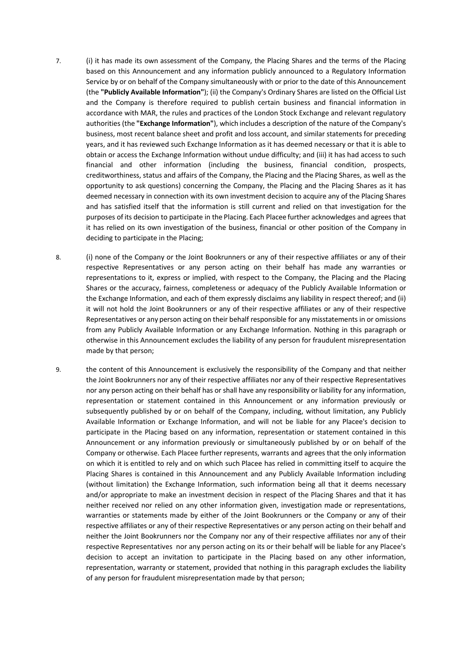- 7. (i) it has made its own assessment of the Company, the Placing Shares and the terms of the Placing based on this Announcement and any information publicly announced to a Regulatory Information Service by or on behalf of the Company simultaneously with or prior to the date of this Announcement (the **"Publicly Available Information"**); (ii) the Company's Ordinary Shares are listed on the Official List and the Company is therefore required to publish certain business and financial information in accordance with MAR, the rules and practices of the London Stock Exchange and relevant regulatory authorities (the **"Exchange Information"**), which includes a description of the nature of the Company's business, most recent balance sheet and profit and loss account, and similar statements for preceding years, and it has reviewed such Exchange Information as it has deemed necessary or that it is able to obtain or access the Exchange Information without undue difficulty; and (iii) it has had access to such financial and other information (including the business, financial condition, prospects, creditworthiness, status and affairs of the Company, the Placing and the Placing Shares, as well as the opportunity to ask questions) concerning the Company, the Placing and the Placing Shares as it has deemed necessary in connection with its own investment decision to acquire any of the Placing Shares and has satisfied itself that the information is still current and relied on that investigation for the purposes of its decision to participate in the Placing. Each Placee further acknowledges and agrees that it has relied on its own investigation of the business, financial or other position of the Company in deciding to participate in the Placing;
- 8. (i) none of the Company or the Joint Bookrunners or any of their respective affiliates or any of their respective Representatives or any person acting on their behalf has made any warranties or representations to it, express or implied, with respect to the Company, the Placing and the Placing Shares or the accuracy, fairness, completeness or adequacy of the Publicly Available Information or the Exchange Information, and each of them expressly disclaims any liability in respect thereof; and (ii) it will not hold the Joint Bookrunners or any of their respective affiliates or any of their respective Representatives or any person acting on their behalf responsible for any misstatements in or omissions from any Publicly Available Information or any Exchange Information. Nothing in this paragraph or otherwise in this Announcement excludes the liability of any person for fraudulent misrepresentation made by that person;
- 9. the content of this Announcement is exclusively the responsibility of the Company and that neither the Joint Bookrunners nor any of their respective affiliates nor any of their respective Representatives nor any person acting on their behalf has or shall have any responsibility or liability for any information, representation or statement contained in this Announcement or any information previously or subsequently published by or on behalf of the Company, including, without limitation, any Publicly Available Information or Exchange Information, and will not be liable for any Placee's decision to participate in the Placing based on any information, representation or statement contained in this Announcement or any information previously or simultaneously published by or on behalf of the Company or otherwise. Each Placee further represents, warrants and agrees that the only information on which it is entitled to rely and on which such Placee has relied in committing itself to acquire the Placing Shares is contained in this Announcement and any Publicly Available Information including (without limitation) the Exchange Information, such information being all that it deems necessary and/or appropriate to make an investment decision in respect of the Placing Shares and that it has neither received nor relied on any other information given, investigation made or representations, warranties or statements made by either of the Joint Bookrunners or the Company or any of their respective affiliates or any of their respective Representatives or any person acting on their behalf and neither the Joint Bookrunners nor the Company nor any of their respective affiliates nor any of their respective Representatives nor any person acting on its or their behalf will be liable for any Placee's decision to accept an invitation to participate in the Placing based on any other information, representation, warranty or statement, provided that nothing in this paragraph excludes the liability of any person for fraudulent misrepresentation made by that person;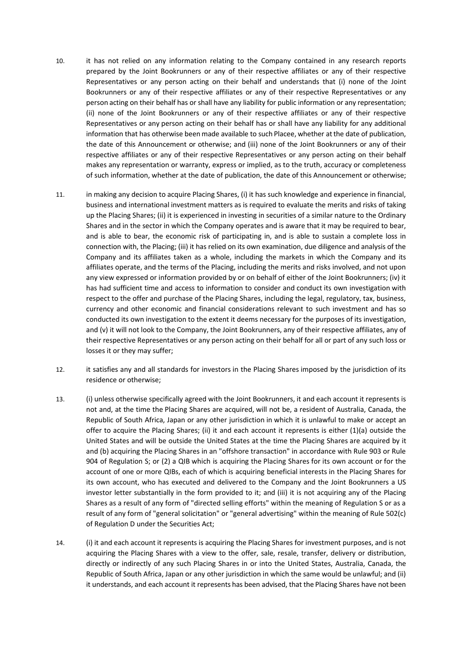- 10. it has not relied on any information relating to the Company contained in any research reports prepared by the Joint Bookrunners or any of their respective affiliates or any of their respective Representatives or any person acting on their behalf and understands that (i) none of the Joint Bookrunners or any of their respective affiliates or any of their respective Representatives or any person acting on their behalf has or shall have any liability for public information or any representation; (ii) none of the Joint Bookrunners or any of their respective affiliates or any of their respective Representatives or any person acting on their behalf has or shall have any liability for any additional information that has otherwise been made available to such Placee, whether at the date of publication, the date of this Announcement or otherwise; and (iii) none of the Joint Bookrunners or any of their respective affiliates or any of their respective Representatives or any person acting on their behalf makes any representation or warranty, express or implied, as to the truth, accuracy or completeness of such information, whether at the date of publication, the date of this Announcement or otherwise;
- 11. in making any decision to acquire Placing Shares, (i) it has such knowledge and experience in financial, business and international investment matters as is required to evaluate the merits and risks of taking up the Placing Shares; (ii) it is experienced in investing in securities of a similar nature to the Ordinary Shares and in the sector in which the Company operates and is aware that it may be required to bear, and is able to bear, the economic risk of participating in, and is able to sustain a complete loss in connection with, the Placing; (iii) it has relied on its own examination, due diligence and analysis of the Company and its affiliates taken as a whole, including the markets in which the Company and its affiliates operate, and the terms of the Placing, including the merits and risks involved, and not upon any view expressed or information provided by or on behalf of either of the Joint Bookrunners; (iv) it has had sufficient time and access to information to consider and conduct its own investigation with respect to the offer and purchase of the Placing Shares, including the legal, regulatory, tax, business, currency and other economic and financial considerations relevant to such investment and has so conducted its own investigation to the extent it deems necessary for the purposes of its investigation, and (v) it will not look to the Company, the Joint Bookrunners, any of their respective affiliates, any of their respective Representatives or any person acting on their behalf for all or part of any such loss or losses it or they may suffer;
- 12. it satisfies any and all standards for investors in the Placing Shares imposed by the jurisdiction of its residence or otherwise;
- 13. (i) unless otherwise specifically agreed with the Joint Bookrunners, it and each account it represents is not and, at the time the Placing Shares are acquired, will not be, a resident of Australia, Canada, the Republic of South Africa, Japan or any other jurisdiction in which it is unlawful to make or accept an offer to acquire the Placing Shares; (ii) it and each account it represents is either (1)(a) outside the United States and will be outside the United States at the time the Placing Shares are acquired by it and (b) acquiring the Placing Shares in an "offshore transaction" in accordance with Rule 903 or Rule 904 of Regulation S; or (2) a QIB which is acquiring the Placing Shares for its own account or for the account of one or more QIBs, each of which is acquiring beneficial interests in the Placing Shares for its own account, who has executed and delivered to the Company and the Joint Bookrunners a US investor letter substantially in the form provided to it; and (iii) it is not acquiring any of the Placing Shares as a result of any form of "directed selling efforts" within the meaning of Regulation S or as a result of any form of "general solicitation" or "general advertising" within the meaning of Rule 502(c) of Regulation D under the Securities Act;
- 14. (i) it and each account it represents is acquiring the Placing Shares for investment purposes, and is not acquiring the Placing Shares with a view to the offer, sale, resale, transfer, delivery or distribution, directly or indirectly of any such Placing Shares in or into the United States, Australia, Canada, the Republic of South Africa, Japan or any other jurisdiction in which the same would be unlawful; and (ii) it understands, and each account it represents has been advised, that the Placing Shares have not been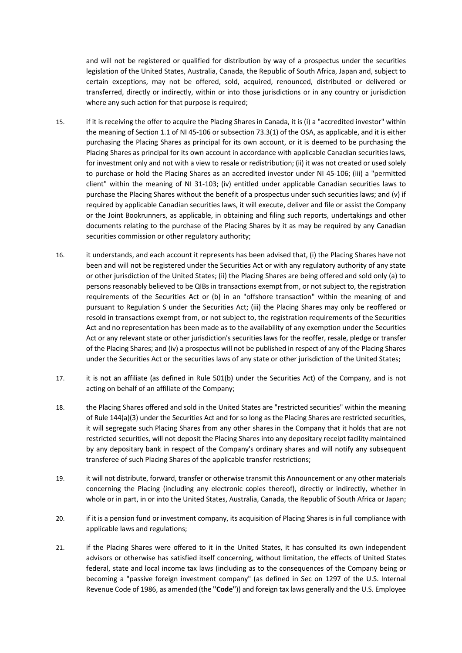and will not be registered or qualified for distribution by way of a prospectus under the securities legislation of the United States, Australia, Canada, the Republic of South Africa, Japan and, subject to certain exceptions, may not be offered, sold, acquired, renounced, distributed or delivered or transferred, directly or indirectly, within or into those jurisdictions or in any country or jurisdiction where any such action for that purpose is required;

- 15. if it is receiving the offer to acquire the Placing Shares in Canada, it is (i) a "accredited investor" within the meaning of Section 1.1 of NI 45-106 or subsection 73.3(1) of the OSA, as applicable, and it is either purchasing the Placing Shares as principal for its own account, or it is deemed to be purchasing the Placing Shares as principal for its own account in accordance with applicable Canadian securities laws, for investment only and not with a view to resale or redistribution; (ii) it was not created or used solely to purchase or hold the Placing Shares as an accredited investor under NI 45-106; (iii) a "permitted client" within the meaning of NI 31-103; (iv) entitled under applicable Canadian securities laws to purchase the Placing Shares without the benefit of a prospectus under such securities laws; and (v) if required by applicable Canadian securities laws, it will execute, deliver and file or assist the Company or the Joint Bookrunners, as applicable, in obtaining and filing such reports, undertakings and other documents relating to the purchase of the Placing Shares by it as may be required by any Canadian securities commission or other regulatory authority;
- 16. it understands, and each account it represents has been advised that, (i) the Placing Shares have not been and will not be registered under the Securities Act or with any regulatory authority of any state or other jurisdiction of the United States; (ii) the Placing Shares are being offered and sold only (a) to persons reasonably believed to be QIBs in transactions exempt from, or not subject to, the registration requirements of the Securities Act or (b) in an "offshore transaction" within the meaning of and pursuant to Regulation S under the Securities Act; (iii) the Placing Shares may only be reoffered or resold in transactions exempt from, or not subject to, the registration requirements of the Securities Act and no representation has been made as to the availability of any exemption under the Securities Act or any relevant state or other jurisdiction's securities laws for the reoffer, resale, pledge or transfer of the Placing Shares; and (iv) a prospectus will not be published in respect of any of the Placing Shares under the Securities Act or the securities laws of any state or other jurisdiction of the United States;
- 17. it is not an affiliate (as defined in Rule 501(b) under the Securities Act) of the Company, and is not acting on behalf of an affiliate of the Company;
- 18. the Placing Shares offered and sold in the United States are "restricted securities" within the meaning of Rule 144(a)(3) under the Securities Act and for so long as the Placing Shares are restricted securities, it will segregate such Placing Shares from any other shares in the Company that it holds that are not restricted securities, will not deposit the Placing Shares into any depositary receipt facility maintained by any depositary bank in respect of the Company's ordinary shares and will notify any subsequent transferee of such Placing Shares of the applicable transfer restrictions;
- 19. it will not distribute, forward, transfer or otherwise transmit this Announcement or any other materials concerning the Placing (including any electronic copies thereof), directly or indirectly, whether in whole or in part, in or into the United States, Australia, Canada, the Republic of South Africa or Japan;
- 20. if it is a pension fund or investment company, its acquisition of Placing Shares is in full compliance with applicable laws and regulations;
- 21. if the Placing Shares were offered to it in the United States, it has consulted its own independent advisors or otherwise has satisfied itself concerning, without limitation, the effects of United States federal, state and local income tax laws (including as to the consequences of the Company being or becoming a "passive foreign investment company" (as defined in Sec on 1297 of the U.S. Internal Revenue Code of 1986, as amended (the **"Code"**)) and foreign tax laws generally and the U.S. Employee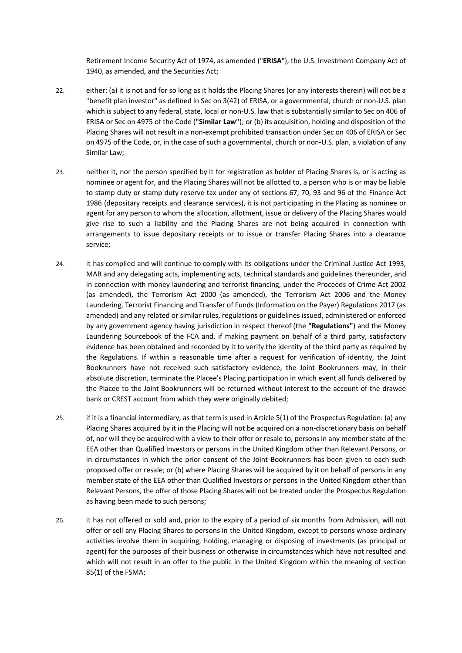Retirement Income Security Act of 1974, as amended ("**ERISA**"), the U.S. Investment Company Act of 1940, as amended, and the Securities Act;

- 22. either: (a) it is not and for so long as it holds the Placing Shares (or any interests therein) will not be a "benefit plan investor" as defined in Sec on 3(42) of ERISA, or a governmental, church or non-U.S. plan which is subject to any federal, state, local or non-U.S. law that is substantially similar to Sec on 406 of ERISA or Sec on 4975 of the Code (**"Similar Law"**); or (b) its acquisition, holding and disposition of the Placing Shares will not result in a non-exempt prohibited transaction under Sec on 406 of ERISA or Sec on 4975 of the Code, or, in the case of such a governmental, church or non-U.S. plan, a violation of any Similar Law;
- 23. neither it, nor the person specified by it for registration as holder of Placing Shares is, or is acting as nominee or agent for, and the Placing Shares will not be allotted to, a person who is or may be liable to stamp duty or stamp duty reserve tax under any of sections 67, 70, 93 and 96 of the Finance Act 1986 (depositary receipts and clearance services), it is not participating in the Placing as nominee or agent for any person to whom the allocation, allotment, issue or delivery of the Placing Shares would give rise to such a liability and the Placing Shares are not being acquired in connection with arrangements to issue depositary receipts or to issue or transfer Placing Shares into a clearance service;
- 24. it has complied and will continue to comply with its obligations under the Criminal Justice Act 1993, MAR and any delegating acts, implementing acts, technical standards and guidelines thereunder, and in connection with money laundering and terrorist financing, under the Proceeds of Crime Act 2002 (as amended), the Terrorism Act 2000 (as amended), the Terrorism Act 2006 and the Money Laundering, Terrorist Financing and Transfer of Funds (Information on the Payer) Regulations 2017 (as amended) and any related or similar rules, regulations or guidelines issued, administered or enforced by any government agency having jurisdiction in respect thereof (the **"Regulations"**) and the Money Laundering Sourcebook of the FCA and, if making payment on behalf of a third party, satisfactory evidence has been obtained and recorded by it to verify the identity of the third party as required by the Regulations. If within a reasonable time after a request for verification of identity, the Joint Bookrunners have not received such satisfactory evidence, the Joint Bookrunners may, in their absolute discretion, terminate the Placee's Placing participation in which event all funds delivered by the Placee to the Joint Bookrunners will be returned without interest to the account of the drawee bank or CREST account from which they were originally debited;
- 25. if it is a financial intermediary, as that term is used in Article 5(1) of the Prospectus Regulation: (a) any Placing Shares acquired by it in the Placing will not be acquired on a non-discretionary basis on behalf of, nor will they be acquired with a view to their offer or resale to, persons in any member state of the EEA other than Qualified Investors or persons in the United Kingdom other than Relevant Persons, or in circumstances in which the prior consent of the Joint Bookrunners has been given to each such proposed offer or resale; or (b) where Placing Shares will be acquired by it on behalf of persons in any member state of the EEA other than Qualified Investors or persons in the United Kingdom other than Relevant Persons, the offer of those Placing Shares will not be treated under the Prospectus Regulation as having been made to such persons;
- 26. it has not offered or sold and, prior to the expiry of a period of six months from Admission, will not offer or sell any Placing Shares to persons in the United Kingdom, except to persons whose ordinary activities involve them in acquiring, holding, managing or disposing of investments (as principal or agent) for the purposes of their business or otherwise in circumstances which have not resulted and which will not result in an offer to the public in the United Kingdom within the meaning of section 85(1) of the FSMA;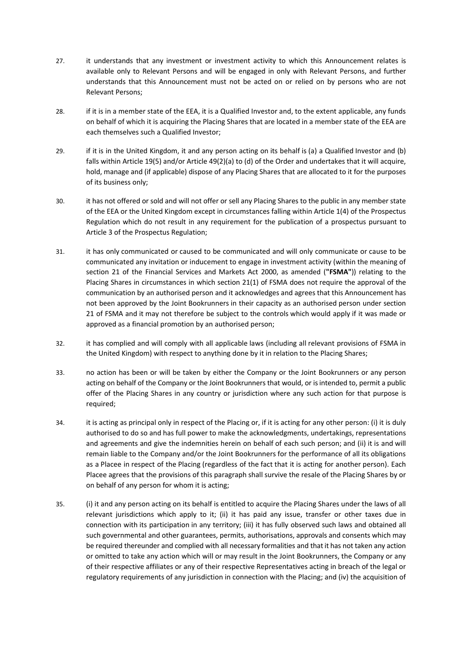- 27. it understands that any investment or investment activity to which this Announcement relates is available only to Relevant Persons and will be engaged in only with Relevant Persons, and further understands that this Announcement must not be acted on or relied on by persons who are not Relevant Persons;
- 28. if it is in a member state of the EEA, it is a Qualified Investor and, to the extent applicable, any funds on behalf of which it is acquiring the Placing Shares that are located in a member state of the EEA are each themselves such a Qualified Investor;
- 29. if it is in the United Kingdom, it and any person acting on its behalf is (a) a Qualified Investor and (b) falls within Article 19(5) and/or Article 49(2)(a) to (d) of the Order and undertakes that it will acquire, hold, manage and (if applicable) dispose of any Placing Shares that are allocated to it for the purposes of its business only;
- 30. it has not offered or sold and will not offer or sell any Placing Shares to the public in any member state of the EEA or the United Kingdom except in circumstances falling within Article 1(4) of the Prospectus Regulation which do not result in any requirement for the publication of a prospectus pursuant to Article 3 of the Prospectus Regulation;
- 31. it has only communicated or caused to be communicated and will only communicate or cause to be communicated any invitation or inducement to engage in investment activity (within the meaning of section 21 of the Financial Services and Markets Act 2000, as amended (**"FSMA"**)) relating to the Placing Shares in circumstances in which section 21(1) of FSMA does not require the approval of the communication by an authorised person and it acknowledges and agrees that this Announcement has not been approved by the Joint Bookrunners in their capacity as an authorised person under section 21 of FSMA and it may not therefore be subject to the controls which would apply if it was made or approved as a financial promotion by an authorised person;
- 32. it has complied and will comply with all applicable laws (including all relevant provisions of FSMA in the United Kingdom) with respect to anything done by it in relation to the Placing Shares;
- 33. no action has been or will be taken by either the Company or the Joint Bookrunners or any person acting on behalf of the Company or the Joint Bookrunners that would, or is intended to, permit a public offer of the Placing Shares in any country or jurisdiction where any such action for that purpose is required;
- 34. it is acting as principal only in respect of the Placing or, if it is acting for any other person: (i) it is duly authorised to do so and has full power to make the acknowledgments, undertakings, representations and agreements and give the indemnities herein on behalf of each such person; and (ii) it is and will remain liable to the Company and/or the Joint Bookrunners for the performance of all its obligations as a Placee in respect of the Placing (regardless of the fact that it is acting for another person). Each Placee agrees that the provisions of this paragraph shall survive the resale of the Placing Shares by or on behalf of any person for whom it is acting;
- 35. (i) it and any person acting on its behalf is entitled to acquire the Placing Shares under the laws of all relevant jurisdictions which apply to it; (ii) it has paid any issue, transfer or other taxes due in connection with its participation in any territory; (iii) it has fully observed such laws and obtained all such governmental and other guarantees, permits, authorisations, approvals and consents which may be required thereunder and complied with all necessary formalities and that it has not taken any action or omitted to take any action which will or may result in the Joint Bookrunners, the Company or any of their respective affiliates or any of their respective Representatives acting in breach of the legal or regulatory requirements of any jurisdiction in connection with the Placing; and (iv) the acquisition of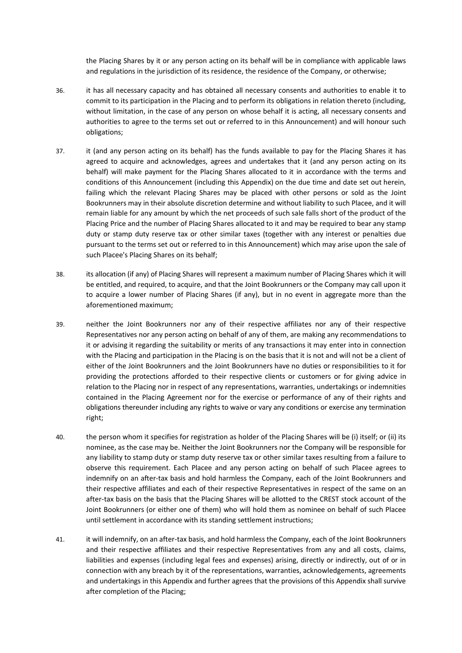the Placing Shares by it or any person acting on its behalf will be in compliance with applicable laws and regulations in the jurisdiction of its residence, the residence of the Company, or otherwise;

- 36. it has all necessary capacity and has obtained all necessary consents and authorities to enable it to commit to its participation in the Placing and to perform its obligations in relation thereto (including, without limitation, in the case of any person on whose behalf it is acting, all necessary consents and authorities to agree to the terms set out or referred to in this Announcement) and will honour such obligations;
- 37. it (and any person acting on its behalf) has the funds available to pay for the Placing Shares it has agreed to acquire and acknowledges, agrees and undertakes that it (and any person acting on its behalf) will make payment for the Placing Shares allocated to it in accordance with the terms and conditions of this Announcement (including this Appendix) on the due time and date set out herein, failing which the relevant Placing Shares may be placed with other persons or sold as the Joint Bookrunners may in their absolute discretion determine and without liability to such Placee, and it will remain liable for any amount by which the net proceeds of such sale falls short of the product of the Placing Price and the number of Placing Shares allocated to it and may be required to bear any stamp duty or stamp duty reserve tax or other similar taxes (together with any interest or penalties due pursuant to the terms set out or referred to in this Announcement) which may arise upon the sale of such Placee's Placing Shares on its behalf;
- 38. its allocation (if any) of Placing Shares will represent a maximum number of Placing Shares which it will be entitled, and required, to acquire, and that the Joint Bookrunners or the Company may call upon it to acquire a lower number of Placing Shares (if any), but in no event in aggregate more than the aforementioned maximum;
- 39. neither the Joint Bookrunners nor any of their respective affiliates nor any of their respective Representatives nor any person acting on behalf of any of them, are making any recommendations to it or advising it regarding the suitability or merits of any transactions it may enter into in connection with the Placing and participation in the Placing is on the basis that it is not and will not be a client of either of the Joint Bookrunners and the Joint Bookrunners have no duties or responsibilities to it for providing the protections afforded to their respective clients or customers or for giving advice in relation to the Placing nor in respect of any representations, warranties, undertakings or indemnities contained in the Placing Agreement nor for the exercise or performance of any of their rights and obligations thereunder including any rights to waive or vary any conditions or exercise any termination right;
- 40. the person whom it specifies for registration as holder of the Placing Shares will be (i) itself; or (ii) its nominee, as the case may be. Neither the Joint Bookrunners nor the Company will be responsible for any liability to stamp duty or stamp duty reserve tax or other similar taxes resulting from a failure to observe this requirement. Each Placee and any person acting on behalf of such Placee agrees to indemnify on an after-tax basis and hold harmless the Company, each of the Joint Bookrunners and their respective affiliates and each of their respective Representatives in respect of the same on an after-tax basis on the basis that the Placing Shares will be allotted to the CREST stock account of the Joint Bookrunners (or either one of them) who will hold them as nominee on behalf of such Placee until settlement in accordance with its standing settlement instructions;
- 41. it will indemnify, on an after-tax basis, and hold harmless the Company, each of the Joint Bookrunners and their respective affiliates and their respective Representatives from any and all costs, claims, liabilities and expenses (including legal fees and expenses) arising, directly or indirectly, out of or in connection with any breach by it of the representations, warranties, acknowledgements, agreements and undertakings in this Appendix and further agrees that the provisions of this Appendix shall survive after completion of the Placing;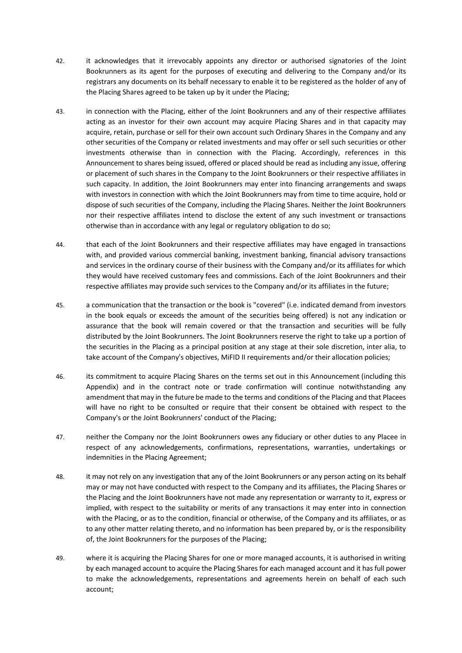- 42. it acknowledges that it irrevocably appoints any director or authorised signatories of the Joint Bookrunners as its agent for the purposes of executing and delivering to the Company and/or its registrars any documents on its behalf necessary to enable it to be registered as the holder of any of the Placing Shares agreed to be taken up by it under the Placing;
- 43. in connection with the Placing, either of the Joint Bookrunners and any of their respective affiliates acting as an investor for their own account may acquire Placing Shares and in that capacity may acquire, retain, purchase or sell for their own account such Ordinary Shares in the Company and any other securities of the Company or related investments and may offer or sell such securities or other investments otherwise than in connection with the Placing. Accordingly, references in this Announcement to shares being issued, offered or placed should be read as including any issue, offering or placement of such shares in the Company to the Joint Bookrunners or their respective affiliates in such capacity. In addition, the Joint Bookrunners may enter into financing arrangements and swaps with investors in connection with which the Joint Bookrunners may from time to time acquire, hold or dispose of such securities of the Company, including the Placing Shares. Neither the Joint Bookrunners nor their respective affiliates intend to disclose the extent of any such investment or transactions otherwise than in accordance with any legal or regulatory obligation to do so;
- 44. that each of the Joint Bookrunners and their respective affiliates may have engaged in transactions with, and provided various commercial banking, investment banking, financial advisory transactions and services in the ordinary course of their business with the Company and/or its affiliates for which they would have received customary fees and commissions. Each of the Joint Bookrunners and their respective affiliates may provide such services to the Company and/or its affiliates in the future;
- 45. a communication that the transaction or the book is "covered" (i.e. indicated demand from investors in the book equals or exceeds the amount of the securities being offered) is not any indication or assurance that the book will remain covered or that the transaction and securities will be fully distributed by the Joint Bookrunners. The Joint Bookrunners reserve the right to take up a portion of the securities in the Placing as a principal position at any stage at their sole discretion, inter alia, to take account of the Company's objectives, MiFID II requirements and/or their allocation policies;
- 46. its commitment to acquire Placing Shares on the terms set out in this Announcement (including this Appendix) and in the contract note or trade confirmation will continue notwithstanding any amendment that may in the future be made to the terms and conditions of the Placing and that Placees will have no right to be consulted or require that their consent be obtained with respect to the Company's or the Joint Bookrunners' conduct of the Placing;
- 47. neither the Company nor the Joint Bookrunners owes any fiduciary or other duties to any Placee in respect of any acknowledgements, confirmations, representations, warranties, undertakings or indemnities in the Placing Agreement;
- 48. it may not rely on any investigation that any of the Joint Bookrunners or any person acting on its behalf may or may not have conducted with respect to the Company and its affiliates, the Placing Shares or the Placing and the Joint Bookrunners have not made any representation or warranty to it, express or implied, with respect to the suitability or merits of any transactions it may enter into in connection with the Placing, or as to the condition, financial or otherwise, of the Company and its affiliates, or as to any other matter relating thereto, and no information has been prepared by, or is the responsibility of, the Joint Bookrunners for the purposes of the Placing;
- 49. where it is acquiring the Placing Shares for one or more managed accounts, it is authorised in writing by each managed account to acquire the Placing Shares for each managed account and it has full power to make the acknowledgements, representations and agreements herein on behalf of each such account;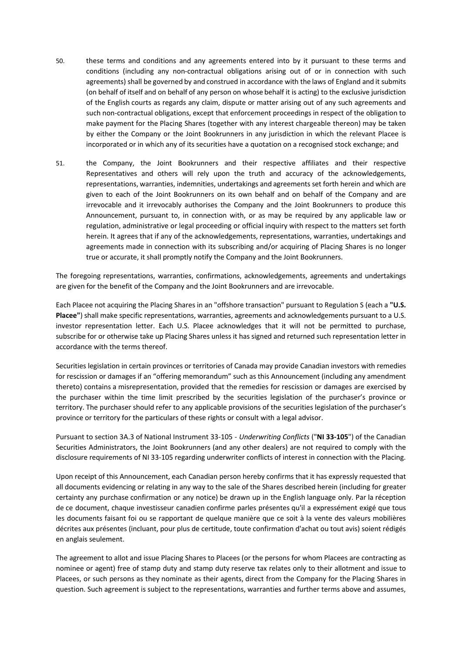- 50. these terms and conditions and any agreements entered into by it pursuant to these terms and conditions (including any non-contractual obligations arising out of or in connection with such agreements) shall be governed by and construed in accordance with the laws of England and it submits (on behalf of itself and on behalf of any person on whose behalf it is acting) to the exclusive jurisdiction of the English courts as regards any claim, dispute or matter arising out of any such agreements and such non-contractual obligations, except that enforcement proceedings in respect of the obligation to make payment for the Placing Shares (together with any interest chargeable thereon) may be taken by either the Company or the Joint Bookrunners in any jurisdiction in which the relevant Placee is incorporated or in which any of its securities have a quotation on a recognised stock exchange; and
- 51. the Company, the Joint Bookrunners and their respective affiliates and their respective Representatives and others will rely upon the truth and accuracy of the acknowledgements, representations, warranties, indemnities, undertakings and agreements set forth herein and which are given to each of the Joint Bookrunners on its own behalf and on behalf of the Company and are irrevocable and it irrevocably authorises the Company and the Joint Bookrunners to produce this Announcement, pursuant to, in connection with, or as may be required by any applicable law or regulation, administrative or legal proceeding or official inquiry with respect to the matters set forth herein. It agrees that if any of the acknowledgements, representations, warranties, undertakings and agreements made in connection with its subscribing and/or acquiring of Placing Shares is no longer true or accurate, it shall promptly notify the Company and the Joint Bookrunners.

The foregoing representations, warranties, confirmations, acknowledgements, agreements and undertakings are given for the benefit of the Company and the Joint Bookrunners and are irrevocable.

Each Placee not acquiring the Placing Shares in an "offshore transaction" pursuant to Regulation S (each a **"U.S. Placee"**) shall make specific representations, warranties, agreements and acknowledgements pursuant to a U.S. investor representation letter. Each U.S. Placee acknowledges that it will not be permitted to purchase, subscribe for or otherwise take up Placing Shares unless it has signed and returned such representation letter in accordance with the terms thereof.

Securities legislation in certain provinces or territories of Canada may provide Canadian investors with remedies for rescission or damages if an "offering memorandum" such as this Announcement (including any amendment thereto) contains a misrepresentation, provided that the remedies for rescission or damages are exercised by the purchaser within the time limit prescribed by the securities legislation of the purchaser's province or territory. The purchaser should refer to any applicable provisions of the securities legislation of the purchaser's province or territory for the particulars of these rights or consult with a legal advisor.

Pursuant to section 3A.3 of National Instrument 33-105 - *Underwriting Conflicts* ("**NI 33-105**") of the Canadian Securities Administrators, the Joint Bookrunners (and any other dealers) are not required to comply with the disclosure requirements of NI 33-105 regarding underwriter conflicts of interest in connection with the Placing.

Upon receipt of this Announcement, each Canadian person hereby confirms that it has expressly requested that all documents evidencing or relating in any way to the sale of the Shares described herein (including for greater certainty any purchase confirmation or any notice) be drawn up in the English language only. Par la réception de ce document, chaque investisseur canadien confirme parles présentes qu'il a expressément exigé que tous les documents faisant foi ou se rapportant de quelque manière que ce soit à la vente des valeurs mobilières décrites aux présentes (incluant, pour plus de certitude, toute confirmation d'achat ou tout avis) soient rédigés en anglais seulement.

The agreement to allot and issue Placing Shares to Placees (or the persons for whom Placees are contracting as nominee or agent) free of stamp duty and stamp duty reserve tax relates only to their allotment and issue to Placees, or such persons as they nominate as their agents, direct from the Company for the Placing Shares in question. Such agreement is subject to the representations, warranties and further terms above and assumes,